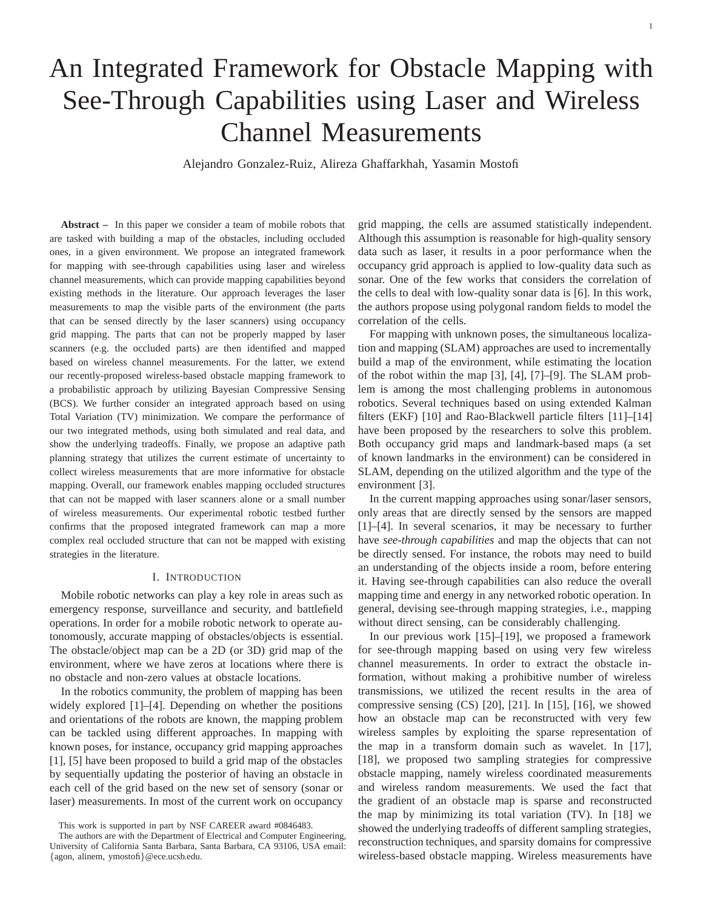# An Integrated Framework for Obstacle Mapping with See-Through Capabilities using Laser and Wireless Channel Measurements

Alejandro Gonzalez-Ruiz, Alireza Ghaffarkhah, Yasamin Mostofi

**Abstract –** In this paper we consider a team of mobile robots that are tasked with building a map of the obstacles, including occluded ones, in a given environment. We propose an integrated framework for mapping with see-through capabilities using laser and wireless channel measurements, which can provide mapping capabilities beyond existing methods in the literature. Our approach leverages the laser measurements to map the visible parts of the environment (the parts that can be sensed directly by the laser scanners) using occupancy grid mapping. The parts that can not be properly mapped by laser scanners (e.g. the occluded parts) are then identified and mapped based on wireless channel measurements. For the latter, we extend our recently-proposed wireless-based obstacle mapping framework to a probabilistic approach by utilizing Bayesian Compressive Sensing (BCS). We further consider an integrated approach based on using Total Variation (TV) minimization. We compare the performance of our two integrated methods, using both simulated and real data, and show the underlying tradeoffs. Finally, we propose an adaptive path planning strategy that utilizes the current estimate of uncertainty to collect wireless measurements that are more informative for obstacle mapping. Overall, our framework enables mapping occluded structures that can not be mapped with laser scanners alone or a small number of wireless measurements. Our experimental robotic testbed further confirms that the proposed integrated framework can map a more complex real occluded structure that can not be mapped with existing strategies in the literature.

## I. INTRODUCTION

Mobile robotic networks can play a key role in areas such as emergency response, surveillance and security, and battlefield operations. In order for a mobile robotic network to operate autonomously, accurate mapping of obstacles/objects is essential. The obstacle/object map can be a 2D (or 3D) grid map of the environment, where we have zeros at locations where there is no obstacle and non-zero values at obstacle locations.

In the robotics community, the problem of mapping has been widely explored [1]–[4]. Depending on whether the positions and orientations of the robots are known, the mapping problem can be tackled using different approaches. In mapping with known poses, for instance, occupancy grid mapping approaches [1], [5] have been proposed to build a grid map of the obstacles by sequentially updating the posterior of having an obstacle in each cell of the grid based on the new set of sensory (sonar or laser) measurements. In most of the current work on occupancy grid mapping, the cells are assumed statistically independent. Although this assumption is reasonable for high-quality sensory data such as laser, it results in a poor performance when the occupancy grid approach is applied to low-quality data such as sonar. One of the few works that considers the correlation of the cells to deal with low-quality sonar data is [6]. In this work, the authors propose using polygonal random fields to model the correlation of the cells.

For mapping with unknown poses, the simultaneous localization and mapping (SLAM) approaches are used to incrementally build a map of the environment, while estimating the location of the robot within the map [3], [4], [7]–[9]. The SLAM problem is among the most challenging problems in autonomous robotics. Several techniques based on using extended Kalman filters (EKF) [10] and Rao-Blackwell particle filters [11]–[14] have been proposed by the researchers to solve this problem. Both occupancy grid maps and landmark-based maps (a set of known landmarks in the environment) can be considered in SLAM, depending on the utilized algorithm and the type of the environment [3].

In the current mapping approaches using sonar/laser sensors, only areas that are directly sensed by the sensors are mapped [1]–[4]. In several scenarios, it may be necessary to further have *see-through capabilities* and map the objects that can not be directly sensed. For instance, the robots may need to build an understanding of the objects inside a room, before entering it. Having see-through capabilities can also reduce the overall mapping time and energy in any networked robotic operation. In general, devising see-through mapping strategies, i.e., mapping without direct sensing, can be considerably challenging.

In our previous work [15]–[19], we proposed a framework for see-through mapping based on using very few wireless channel measurements. In order to extract the obstacle information, without making a prohibitive number of wireless transmissions, we utilized the recent results in the area of compressive sensing (CS) [20], [21]. In [15], [16], we showed how an obstacle map can be reconstructed with very few wireless samples by exploiting the sparse representation of the map in a transform domain such as wavelet. In [17], [18], we proposed two sampling strategies for compressive obstacle mapping, namely wireless coordinated measurements and wireless random measurements. We used the fact that the gradient of an obstacle map is sparse and reconstructed the map by minimizing its total variation (TV). In [18] we showed the underlying tradeoffs of different sampling strategies, reconstruction techniques, and sparsity domains for compressive wireless-based obstacle mapping. Wireless measurements have

This work is supported in part by NSF CAREER award #0846483.

The authors are with the Department of Electrical and Computer Engineering, University of California Santa Barbara, Santa Barbara, CA 93106, USA email: *{*agon, alinem, ymostofi*}*@ece.ucsb.edu.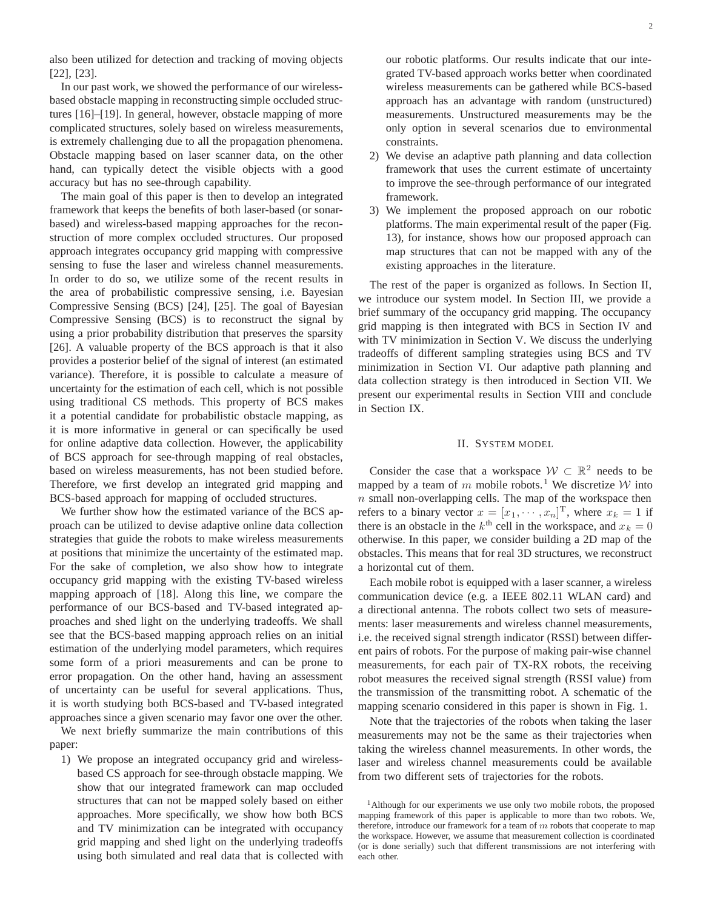also been utilized for detection and tracking of moving objects [22], [23].

In our past work, we showed the performance of our wirelessbased obstacle mapping in reconstructing simple occluded structures [16]–[19]. In general, however, obstacle mapping of more complicated structures, solely based on wireless measurements, is extremely challenging due to all the propagation phenomena. Obstacle mapping based on laser scanner data, on the other hand, can typically detect the visible objects with a good accuracy but has no see-through capability.

The main goal of this paper is then to develop an integrated framework that keeps the benefits of both laser-based (or sonarbased) and wireless-based mapping approaches for the reconstruction of more complex occluded structures. Our proposed approach integrates occupancy grid mapping with compressive sensing to fuse the laser and wireless channel measurements. In order to do so, we utilize some of the recent results in the area of probabilistic compressive sensing, i.e. Bayesian Compressive Sensing (BCS) [24], [25]. The goal of Bayesian Compressive Sensing (BCS) is to reconstruct the signal by using a prior probability distribution that preserves the sparsity [26]. A valuable property of the BCS approach is that it also provides a posterior belief of the signal of interest (an estimated variance). Therefore, it is possible to calculate a measure of uncertainty for the estimation of each cell, which is not possible using traditional CS methods. This property of BCS makes it a potential candidate for probabilistic obstacle mapping, as it is more informative in general or can specifically be used for online adaptive data collection. However, the applicability of BCS approach for see-through mapping of real obstacles, based on wireless measurements, has not been studied before. Therefore, we first develop an integrated grid mapping and BCS-based approach for mapping of occluded structures.

We further show how the estimated variance of the BCS approach can be utilized to devise adaptive online data collection strategies that guide the robots to make wireless measurements at positions that minimize the uncertainty of the estimated map. For the sake of completion, we also show how to integrate occupancy grid mapping with the existing TV-based wireless mapping approach of [18]. Along this line, we compare the performance of our BCS-based and TV-based integrated approaches and shed light on the underlying tradeoffs. We shall see that the BCS-based mapping approach relies on an initial estimation of the underlying model parameters, which requires some form of a priori measurements and can be prone to error propagation. On the other hand, having an assessment of uncertainty can be useful for several applications. Thus, it is worth studying both BCS-based and TV-based integrated approaches since a given scenario may favor one over the other.

We next briefly summarize the main contributions of this paper:

1) We propose an integrated occupancy grid and wirelessbased CS approach for see-through obstacle mapping. We show that our integrated framework can map occluded structures that can not be mapped solely based on either approaches. More specifically, we show how both BCS and TV minimization can be integrated with occupancy grid mapping and shed light on the underlying tradeoffs using both simulated and real data that is collected with

our robotic platforms. Our results indicate that our integrated TV-based approach works better when coordinated wireless measurements can be gathered while BCS-based approach has an advantage with random (unstructured) measurements. Unstructured measurements may be the only option in several scenarios due to environmental constraints.

- 2) We devise an adaptive path planning and data collection framework that uses the current estimate of uncertainty to improve the see-through performance of our integrated framework.
- 3) We implement the proposed approach on our robotic platforms. The main experimental result of the paper (Fig. 13), for instance, shows how our proposed approach can map structures that can not be mapped with any of the existing approaches in the literature.

The rest of the paper is organized as follows. In Section II, we introduce our system model. In Section III, we provide a brief summary of the occupancy grid mapping. The occupancy grid mapping is then integrated with BCS in Section IV and with TV minimization in Section V. We discuss the underlying tradeoffs of different sampling strategies using BCS and TV minimization in Section VI. Our adaptive path planning and data collection strategy is then introduced in Section VII. We present our experimental results in Section VIII and conclude in Section IX.

#### II. SYSTEM MODEL

Consider the case that a workspace  $W \subset \mathbb{R}^2$  needs to be mapped by a team of  $m$  mobile robots.<sup>1</sup> We discretize  $W$  into  $n$  small non-overlapping cells. The map of the workspace then refers to a binary vector  $x = [x_1, \cdots, x_n]^T$ , where  $x_k = 1$  if there is an obstacle in the k<sup>th</sup> cell in the workspace, and  $x_k = 0$ otherwise. In this paper, we consider building a 2D map of the obstacles. This means that for real 3D structures, we reconstruct a horizontal cut of them.

Each mobile robot is equipped with a laser scanner, a wireless communication device (e.g. a IEEE 802.11 WLAN card) and a directional antenna. The robots collect two sets of measurements: laser measurements and wireless channel measurements, i.e. the received signal strength indicator (RSSI) between different pairs of robots. For the purpose of making pair-wise channel measurements, for each pair of TX-RX robots, the receiving robot measures the received signal strength (RSSI value) from the transmission of the transmitting robot. A schematic of the mapping scenario considered in this paper is shown in Fig. 1.

Note that the trajectories of the robots when taking the laser measurements may not be the same as their trajectories when taking the wireless channel measurements. In other words, the laser and wireless channel measurements could be available from two different sets of trajectories for the robots.

<sup>&</sup>lt;sup>1</sup>Although for our experiments we use only two mobile robots, the proposed mapping framework of this paper is applicable to more than two robots. We, therefore, introduce our framework for a team of  $m$  robots that cooperate to map the workspace. However, we assume that measurement collection is coordinated (or is done serially) such that different transmissions are not interfering with each other.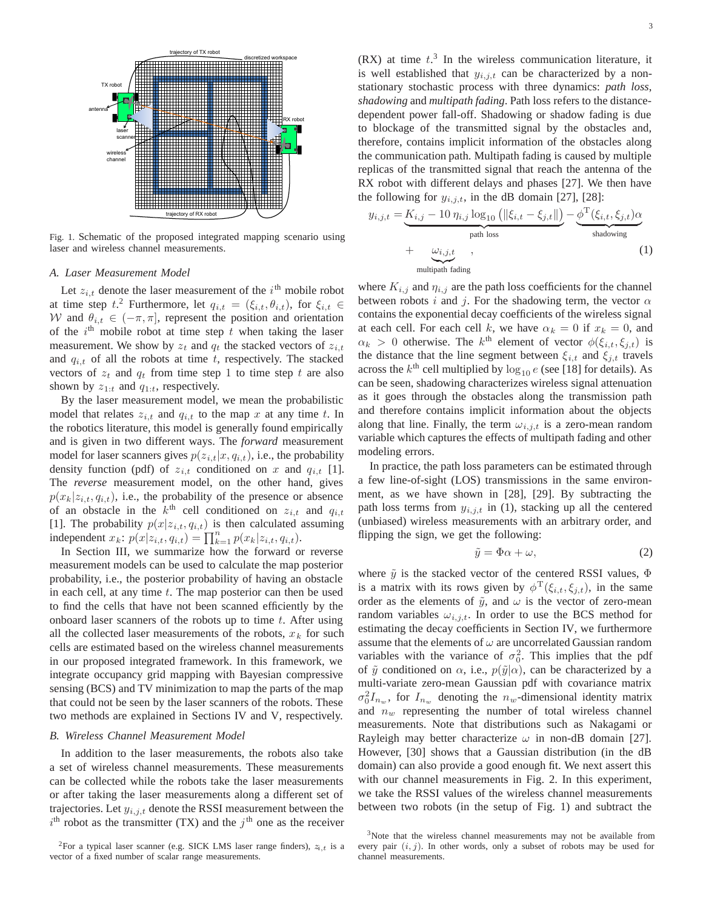

Fig. 1. Schematic of the proposed integrated mapping scenario using laser and wireless channel measurements.

#### *A. Laser Measurement Model*

Let  $z_{i,t}$  denote the laser measurement of the i<sup>th</sup> mobile robot at time step  $t^2$ . Furthermore, let  $q_{i,t} = (\xi_{i,t}, \theta_{i,t})$ , for  $\xi_{i,t} \in$ W and  $\theta_{i,t} \in (-\pi, \pi]$ , represent the position and orientation of the  $i<sup>th</sup>$  mobile robot at time step t when taking the laser measurement. We show by  $z_t$  and  $q_t$  the stacked vectors of  $z_{i,t}$ and  $q_{i,t}$  of all the robots at time t, respectively. The stacked vectors of  $z_t$  and  $q_t$  from time step 1 to time step t are also shown by  $z_{1:t}$  and  $q_{1:t}$ , respectively.

By the laser measurement model, we mean the probabilistic model that relates  $z_{i,t}$  and  $q_{i,t}$  to the map x at any time t. In the robotics literature, this model is generally found empirically and is given in two different ways. The *forward* measurement model for laser scanners gives  $p(z_{i,t}|x, q_{i,t})$ , i.e., the probability density function (pdf) of  $z_{i,t}$  conditioned on x and  $q_{i,t}$  [1]. The *reverse* measurement model, on the other hand, gives  $p(x_k|z_{i,t}, q_{i,t})$ , i.e., the probability of the presence or absence of an obstacle in the  $k^{\text{th}}$  cell conditioned on  $z_{i,t}$  and  $q_{i,t}$ [1]. The probability  $p(x|z_{i,t}, q_{i,t})$  is then calculated assuming independent  $x_k$ :  $p(x|z_{i,t}, q_{i,t}) = \prod_{k=1}^{n} p(x_k|z_{i,t}, q_{i,t}).$ 

In Section III, we summarize how the forward or reverse measurement models can be used to calculate the map posterior probability, i.e., the posterior probability of having an obstacle in each cell, at any time  $t$ . The map posterior can then be used to find the cells that have not been scanned efficiently by the onboard laser scanners of the robots up to time  $t$ . After using all the collected laser measurements of the robots,  $x_k$  for such cells are estimated based on the wireless channel measurements in our proposed integrated framework. In this framework, we integrate occupancy grid mapping with Bayesian compressive sensing (BCS) and TV minimization to map the parts of the map that could not be seen by the laser scanners of the robots. These two methods are explained in Sections IV and V, respectively.

#### *B. Wireless Channel Measurement Model*

In addition to the laser measurements, the robots also take a set of wireless channel measurements. These measurements can be collected while the robots take the laser measurements or after taking the laser measurements along a different set of trajectories. Let  $y_{i,j,t}$  denote the RSSI measurement between the  $i<sup>th</sup>$  robot as the transmitter (TX) and the  $j<sup>th</sup>$  one as the receiver (RX) at time  $t<sup>3</sup>$  In the wireless communication literature, it is well established that  $y_{i,j,t}$  can be characterized by a nonstationary stochastic process with three dynamics: *path loss*, *shadowing* and *multipath fading*. Path loss refers to the distancedependent power fall-off. Shadowing or shadow fading is due to blockage of the transmitted signal by the obstacles and, therefore, contains implicit information of the obstacles along the communication path. Multipath fading is caused by multiple replicas of the transmitted signal that reach the antenna of the RX robot with different delays and phases [27]. We then have the following for  $y_{i,j,t}$ , in the dB domain [27], [28]:

$$
y_{i,j,t} = K_{i,j} - 10 \eta_{i,j} \log_{10} \left( \left\| \xi_{i,t} - \xi_{j,t} \right\| \right) - \underbrace{\phi^{\mathrm{T}}(\xi_{i,t}, \xi_{j,t}) \alpha}_{\text{shadowing}} + \underbrace{\omega_{i,j,t}}_{\text{multipath fading}}, \tag{1}
$$

where  $K_{i,j}$  and  $\eta_{i,j}$  are the path loss coefficients for the channel between robots i and j. For the shadowing term, the vector  $\alpha$ contains the exponential decay coefficients of the wireless signal at each cell. For each cell k, we have  $\alpha_k = 0$  if  $x_k = 0$ , and  $\alpha_k > 0$  otherwise. The k<sup>th</sup> element of vector  $\phi(\xi_{i,t}, \xi_{j,t})$  is the distance that the line segment between  $\xi_{i,t}$  and  $\xi_{j,t}$  travels across the  $k^{\text{th}}$  cell multiplied by  $\log_{10} e$  (see [18] for details). As can be seen, shadowing characterizes wireless signal attenuation as it goes through the obstacles along the transmission path and therefore contains implicit information about the objects along that line. Finally, the term  $\omega_{i,j,t}$  is a zero-mean random variable which captures the effects of multipath fading and other modeling errors.

In practice, the path loss parameters can be estimated through a few line-of-sight (LOS) transmissions in the same environment, as we have shown in [28], [29]. By subtracting the path loss terms from  $y_{i,j,t}$  in (1), stacking up all the centered (unbiased) wireless measurements with an arbitrary order, and flipping the sign, we get the following:

$$
\tilde{y} = \Phi \alpha + \omega,\tag{2}
$$

where  $\tilde{y}$  is the stacked vector of the centered RSSI values,  $\Phi$ is a matrix with its rows given by  $\phi$ <sup>T</sup>( $\xi_{i,t}$ ,  $\xi_{j,t}$ ), in the same order as the elements of  $\tilde{y}$ , and  $\omega$  is the vector of zero-mean random variables  $\omega_{i,j,t}$ . In order to use the BCS method for estimating the decay coefficients in Section IV, we furthermore assume that the elements of  $\omega$  are uncorrelated Gaussian random variables with the variance of  $\sigma_0^2$ . This implies that the pdf of  $\tilde{y}$  conditioned on  $\alpha$ , i.e.,  $p(\tilde{y}|\alpha)$ , can be characterized by a multi-variate zero-mean Gaussian pdf with covariance matrix  $\sigma_0^2 I_{n_w}$ , for  $I_{n_w}$  denoting the  $n_w$ -dimensional identity matrix and  $n_w$  representing the number of total wireless channel measurements. Note that distributions such as Nakagami or Rayleigh may better characterize  $\omega$  in non-dB domain [27]. However, [30] shows that a Gaussian distribution (in the dB domain) can also provide a good enough fit. We next assert this with our channel measurements in Fig. 2. In this experiment, we take the RSSI values of the wireless channel measurements between two robots (in the setup of Fig. 1) and subtract the

<sup>&</sup>lt;sup>2</sup>For a typical laser scanner (e.g. SICK LMS laser range finders),  $z_{i,t}$  is a vector of a fixed number of scalar range measurements.

<sup>&</sup>lt;sup>3</sup>Note that the wireless channel measurements may not be available from every pair  $(i, j)$ . In other words, only a subset of robots may be used for channel measurements.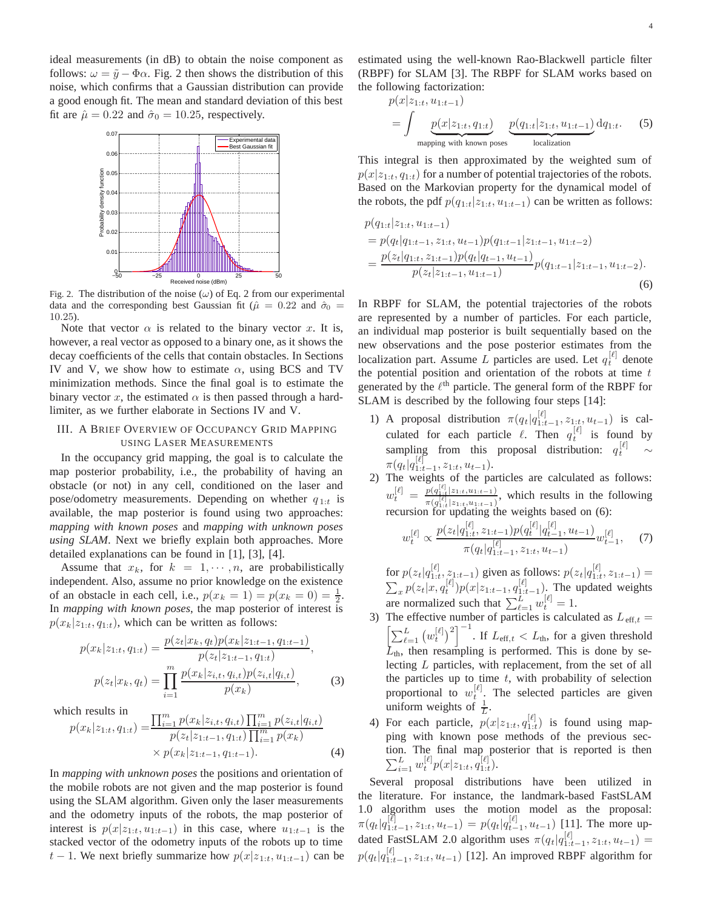ideal measurements (in dB) to obtain the noise component as follows:  $\omega = \tilde{y} - \Phi \alpha$ . Fig. 2 then shows the distribution of this noise, which confirms that a Gaussian distribution can provide a good enough fit. The mean and standard deviation of this best fit are  $\hat{\mu} = 0.22$  and  $\hat{\sigma}_0 = 10.25$ , respectively.



Fig. 2. The distribution of the noise  $(\omega)$  of Eq. 2 from our experimental data and the corresponding best Gaussian fit ( $\hat{\mu} = 0.22$  and  $\hat{\sigma}_0 =$ 10.25).

Note that vector  $\alpha$  is related to the binary vector x. It is, however, a real vector as opposed to a binary one, as it shows the decay coefficients of the cells that contain obstacles. In Sections IV and V, we show how to estimate  $\alpha$ , using BCS and TV minimization methods. Since the final goal is to estimate the binary vector x, the estimated  $\alpha$  is then passed through a hardlimiter, as we further elaborate in Sections IV and V.

## III. A BRIEF OVERVIEW OF OCCUPANCY GRID MAPPING USING LASER MEASUREMENTS

In the occupancy grid mapping, the goal is to calculate the map posterior probability, i.e., the probability of having an obstacle (or not) in any cell, conditioned on the laser and pose/odometry measurements. Depending on whether  $q_{1:t}$  is available, the map posterior is found using two approaches: *mapping with known poses* and *mapping with unknown poses using SLAM*. Next we briefly explain both approaches. More detailed explanations can be found in [1], [3], [4].

Assume that  $x_k$ , for  $k = 1, \dots, n$ , are probabilistically independent. Also, assume no prior knowledge on the existence of an obstacle in each cell, i.e.,  $p(x_k = 1) = p(x_k = 0) = \frac{1}{2}$ . In *mapping with known poses*, the map posterior of interest is  $p(x_k|z_{1:t}, q_{1:t})$ , which can be written as follows:

$$
p(x_k|z_{1:t}, q_{1:t}) = \frac{p(z_t|x_k, q_t)p(x_k|z_{1:t-1}, q_{1:t-1})}{p(z_t|z_{1:t-1}, q_{1:t})},
$$

$$
p(z_t|x_k, q_t) = \prod_{i=1}^m \frac{p(x_k|z_{i,t}, q_{i,t})p(z_{i,t}|q_{i,t})}{p(x_k)},
$$
(3)

which results in

$$
p(x_k|z_{1:t}, q_{1:t}) = \frac{\prod_{i=1}^m p(x_k|z_{i,t}, q_{i,t}) \prod_{i=1}^m p(z_{i,t}|q_{i,t})}{p(z_t|z_{1:t-1}, q_{1:t}) \prod_{i=1}^m p(x_k)} \times p(x_k|z_{1:t-1}, q_{1:t-1}).
$$
\n(4)

In *mapping with unknown poses* the positions and orientation of the mobile robots are not given and the map posterior is found using the SLAM algorithm. Given only the laser measurements and the odometry inputs of the robots, the map posterior of interest is  $p(x|z_{1:t}, u_{1:t-1})$  in this case, where  $u_{1:t-1}$  is the stacked vector of the odometry inputs of the robots up to time  $t-1$ . We next briefly summarize how  $p(x|z_{1:t}, u_{1:t-1})$  can be estimated using the well-known Rao-Blackwell particle filter (RBPF) for SLAM [3]. The RBPF for SLAM works based on the following factorization:

$$
p(x|z_{1:t}, u_{1:t-1})
$$
  
= 
$$
\int p(x|z_{1:t}, q_{1:t}) \underbrace{p(q_{1:t}|z_{1:t}, u_{1:t-1})}_{\text{mapping with known poses}} dq_{1:t}.
$$
 (5)

This integral is then approximated by the weighted sum of  $p(x|z_{1:t}, q_{1:t})$  for a number of potential trajectories of the robots. Based on the Markovian property for the dynamical model of the robots, the pdf  $p(q_{1:t}|z_{1:t}, u_{1:t-1})$  can be written as follows:

$$
p(q_{1:t}|z_{1:t}, u_{1:t-1})
$$
  
=  $p(q_t|q_{1:t-1}, z_{1:t}, u_{t-1})p(q_{1:t-1}|z_{1:t-1}, u_{1:t-2})$   
= 
$$
\frac{p(z_t|q_{1:t}, z_{1:t-1})p(q_t|q_{t-1}, u_{t-1})}{p(z_t|z_{1:t-1}, u_{1:t-1})}p(q_{1:t-1}|z_{1:t-1}, u_{1:t-2}).
$$
  
(6)

In RBPF for SLAM, the potential trajectories of the robots are represented by a number of particles. For each particle, an individual map posterior is built sequentially based on the new observations and the pose posterior estimates from the localization part. Assume L particles are used. Let  $q_t^{[\ell]}$  denote the potential position and orientation of the robots at time  $t$ generated by the  $\ell^{\text{th}}$  particle. The general form of the RBPF for SLAM is described by the following four steps [14]:

- 1) A proposal distribution  $\pi(q_t|q_{1:t-1}^{[\ell]}, z_{1:t}, u_{t-1})$  is calculated for each particle  $\ell$ . Then  $q_t^{[\ell]}$  is found by sampling from this proposal distribution:  $q_t^{[\ell]} \sim$  $\pi(q_t|q_{1:t-1}^{[\ell]}, z_{1:t}, u_{t-1}).$
- 2) The weights of the particles are calculated as follows:  $w_t^{[\ell]} = \frac{p(q_{1:t}^{[\ell]}|z_{1:t},u_{1:t-1})}{\sqrt{|\ell|}|\sqrt{|\ell|}}$  $\frac{p(q_{i:t}|z_{1:t},u_{1:t-1})}{\pi(q_{i:t}^{\{l\}}|z_{1:t},u_{1:t-1})}$ , which results in the following recursion for updating the weights based on (6):

$$
w_t^{[\ell]} \propto \frac{p(z_t|q_{1:t}^{[\ell]}, z_{1:t-1})p(q_t^{[\ell]}|q_{t-1}^{[\ell]}, u_{t-1})}{\pi(q_t|q_{1:t-1}^{[\ell]}, z_{1:t}, u_{t-1})} w_{t-1}^{[\ell]}, \quad (7)
$$

for  $p(z_t|q_{1:t}^{[\ell]}, z_{1:t-1})$  given as follows:  $p(z_t|q_{1:t}^{[\ell]}, z_{1:t-1}) =$  $\sum_{x} p(z_t|x, q_t^{[\ell]}) p(x|z_{1:t-1}, q_{1:t-1}^{[\ell]})$ . The updated weights are normalized such that  $\sum_{\ell=1}^{L} w_{t}^{[\ell]} = 1$ .

- 3) The effective number of particles is calculated as  $L_{\text{eff},t} =$  $\left[\sum_{\ell=1}^{L} (w_t^{[\ell]})^2\right]^{-1}$ . If  $L_{\text{eff},t} < L_{\text{th}}$ , for a given threshold  $L_{th}$ , then resampling is performed. This is done by selecting L particles, with replacement, from the set of all the particles up to time  $t$ , with probability of selection proportional to  $w_t^{[\ell]}$ . The selected particles are given uniform weights of  $\frac{1}{L}$ .
- 4) For each particle,  $p(x|z_{1:t}, q_{1:t}^{[\ell]})$  is found using mapping with known pose methods of the previous section. The final map posterior that is reported is then  $\sum_{i=1}^{L} w_t^{[\ell]} p(x|z_{1:t}, q_{1:t}^{[\ell]})$ .

Several proposal distributions have been utilized in the literature. For instance, the landmark-based FastSLAM 1.0 algorithm uses the motion model as the proposal:  $\pi(q_t|q_{1:t-1}^{[\ell]}, z_{1:t}, u_{t-1}) = p(q_t|q_{t-1}^{[\ell]}, u_{t-1})$  [11]. The more updated FastSLAM 2.0 algorithm uses  $\pi(q_t|q_{1:t-1}^{[\ell]}, z_{1:t}, u_{t-1}) =$  $p(q_t|q_{1:t-1}^{[\ell]}, z_{1:t}, u_{t-1})$  [12]. An improved RBPF algorithm for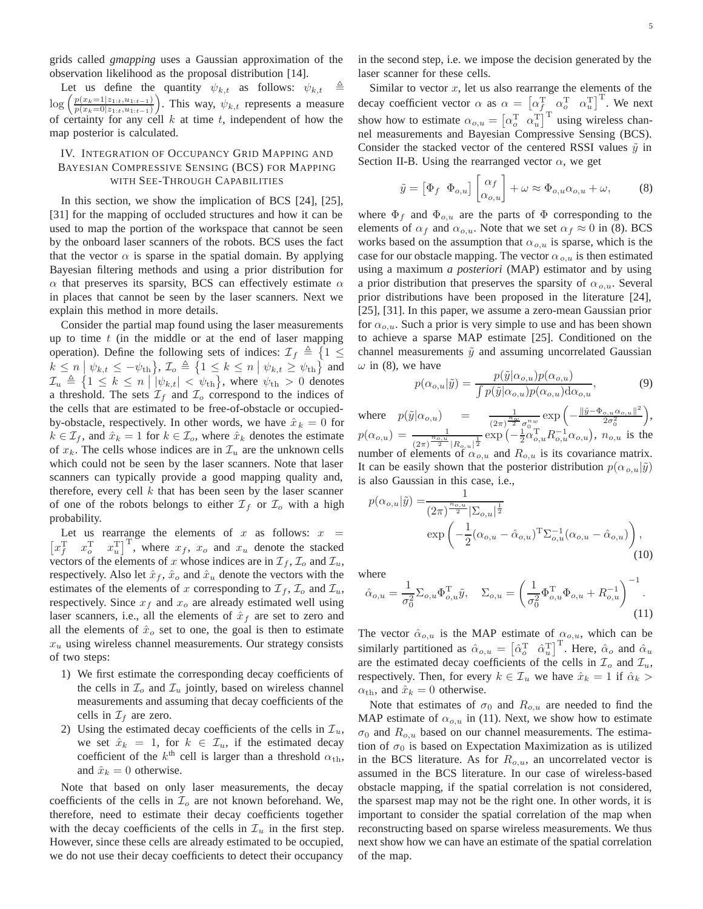grids called *gmapping* uses a Gaussian approximation of the observation likelihood as the proposal distribution [14].

Let us define the quantity  $\psi_{k,t}$  as follows:  $\psi_{k,t}$  $\triangleq$  $\log \left( \frac{p(x_k=1|z_{1:t},u_{1:t-1})}{p(x_k=0|z_{1:t},u_{1:t-1})} \right)$ . This way,  $\psi_{k,t}$  represents a measure of certainty for any cell  $k$  at time  $t$ , independent of how the map posterior is calculated.

# IV. INTEGRATION OF OCCUPANCY GRID MAPPING AND BAYESIAN COMPRESSIVE SENSING (BCS) FOR MAPPING WITH SEE-THROUGH CAPABILITIES

In this section, we show the implication of BCS [24], [25], [31] for the mapping of occluded structures and how it can be used to map the portion of the workspace that cannot be seen by the onboard laser scanners of the robots. BCS uses the fact that the vector  $\alpha$  is sparse in the spatial domain. By applying Bayesian filtering methods and using a prior distribution for  $\alpha$  that preserves its sparsity, BCS can effectively estimate  $\alpha$ in places that cannot be seen by the laser scanners. Next we explain this method in more details.

Consider the partial map found using the laser measurements up to time  $t$  (in the middle or at the end of laser mapping operation). Define the following sets of indices:  $\mathcal{I}_f \triangleq \{1 \leq$  $k \leq n \left[ \psi_{k,t} \leq -\psi_{\text{th}} \right], \mathcal{I}_o \triangleq \left\{ 1 \leq k \leq n \mid \psi_{k,t} \geq \psi_{\text{th}} \right\}$  and  $\mathcal{I}_u \triangleq \{1 \leq k \leq n \mid |\psi_{k,t}| < \psi_{\text{th}}\},\$  where  $\psi_{\text{th}} > 0$  denotes a threshold. The sets  $\mathcal{I}_f$  and  $\mathcal{I}_o$  correspond to the indices of the cells that are estimated to be free-of-obstacle or occupiedby-obstacle, respectively. In other words, we have  $\hat{x}_k = 0$  for  $k \in \mathcal{I}_f$ , and  $\hat{x}_k = 1$  for  $k \in \mathcal{I}_o$ , where  $\hat{x}_k$  denotes the estimate of  $x_k$ . The cells whose indices are in  $\mathcal{I}_u$  are the unknown cells which could not be seen by the laser scanners. Note that laser scanners can typically provide a good mapping quality and, therefore, every cell  $k$  that has been seen by the laser scanner of one of the robots belongs to either  $\mathcal{I}_f$  or  $\mathcal{I}_o$  with a high probability.

Let us rearrange the elements of x as follows:  $x =$  $\begin{bmatrix} x_f^T & x_u^T \end{bmatrix}^T$ , where  $x_f$ ,  $x_o$  and  $x_u$  denote the stacked vectors of the elements of x whose indices are in  $\mathcal{I}_f$ ,  $\mathcal{I}_o$  and  $\mathcal{I}_u$ , respectively. Also let  $\hat{x}_f$ ,  $\hat{x}_o$  and  $\hat{x}_u$  denote the vectors with the estimates of the elements of x corresponding to  $\mathcal{I}_f$ ,  $\mathcal{I}_o$  and  $\mathcal{I}_u$ , respectively. Since  $x_f$  and  $x_o$  are already estimated well using laser scanners, i.e., all the elements of  $\hat{x}_f$  are set to zero and all the elements of  $\hat{x}_o$  set to one, the goal is then to estimate  $x<sub>u</sub>$  using wireless channel measurements. Our strategy consists of two steps:

- 1) We first estimate the corresponding decay coefficients of the cells in  $\mathcal{I}_o$  and  $\mathcal{I}_u$  jointly, based on wireless channel measurements and assuming that decay coefficients of the cells in  $\mathcal{I}_f$  are zero.
- 2) Using the estimated decay coefficients of the cells in  $\mathcal{I}_u$ , we set  $\hat{x}_k = 1$ , for  $k \in \mathcal{I}_u$ , if the estimated decay coefficient of the  $k^{\text{th}}$  cell is larger than a threshold  $\alpha_{\text{th}}$ , and  $\hat{x}_k = 0$  otherwise.

Note that based on only laser measurements, the decay coefficients of the cells in  $\mathcal{I}_o$  are not known beforehand. We, therefore, need to estimate their decay coefficients together with the decay coefficients of the cells in  $\mathcal{I}_u$  in the first step. However, since these cells are already estimated to be occupied, we do not use their decay coefficients to detect their occupancy

in the second step, i.e. we impose the decision generated by the laser scanner for these cells.

Similar to vector  $x$ , let us also rearrange the elements of the decay coefficient vector  $\alpha$  as  $\alpha = \left[\alpha_f^T \alpha_o^T \alpha_u^T\right]^T$ . We next show how to estimate  $\alpha_{o,u} = \begin{bmatrix} \alpha_o^{\mathrm{T}} & \alpha_u^{\mathrm{T}} \end{bmatrix}^{\mathrm{T}}$  using wireless channel measurements and Bayesian Compressive Sensing (BCS). Consider the stacked vector of the centered RSSI values  $\tilde{y}$  in Section II-B. Using the rearranged vector  $\alpha$ , we get

$$
\tilde{y} = \begin{bmatrix} \Phi_f & \Phi_{o,u} \end{bmatrix} \begin{bmatrix} \alpha_f \\ \alpha_{o,u} \end{bmatrix} + \omega \approx \Phi_{o,u} \alpha_{o,u} + \omega, \tag{8}
$$

where  $\Phi_f$  and  $\Phi_{o,u}$  are the parts of  $\Phi$  corresponding to the elements of  $\alpha_f$  and  $\alpha_{o,u}$ . Note that we set  $\alpha_f \approx 0$  in (8). BCS works based on the assumption that  $\alpha_{o,u}$  is sparse, which is the case for our obstacle mapping. The vector  $\alpha_{o,u}$  is then estimated using a maximum *a posteriori* (MAP) estimator and by using a prior distribution that preserves the sparsity of  $\alpha_{o,u}$ . Several prior distributions have been proposed in the literature [24], [25], [31]. In this paper, we assume a zero-mean Gaussian prior for  $\alpha_{o,u}$ . Such a prior is very simple to use and has been shown to achieve a sparse MAP estimate [25]. Conditioned on the channel measurements  $\tilde{y}$  and assuming uncorrelated Gaussian  $\omega$  in (8), we have

$$
p(\alpha_{o,u}|\tilde{y}) = \frac{p(\tilde{y}|\alpha_{o,u})p(\alpha_{o,u})}{\int p(\tilde{y}|\alpha_{o,u})p(\alpha_{o,u})d\alpha_{o,u}},
$$
\n(9)

where  $p(\tilde{y}|\alpha_{o,u}) = \frac{1}{(2\pi)^{\frac{n_w}{2}} \sigma_0^{n_w}} \exp \left(-\frac{\|\tilde{y}-\Phi_{o,u}\alpha_{o,u}\|^2}{2\sigma_0^2}\right)$  $2\sigma_0^2$  $\big),$  $p(\alpha_{o,u}) = \frac{1}{(2\pi)^{\frac{n_{o,u}}{2}} |R_{o,u}|^{\frac{1}{2}}} \exp\left(-\frac{1}{2}\alpha_{o,u}^{\mathrm{T}}R_{o,u}^{-1}\alpha_{o,u}\right), n_{o,u}$  is the number of elements of  $\alpha_{o,u}$  and  $R_{o,u}$  is its covariance matrix. It can be easily shown that the posterior distribution  $p(\alpha_{o,u}|\tilde{y})$ is also Gaussian in this case, i.e.,

$$
p(\alpha_{o,u}|\tilde{y}) = \frac{1}{(2\pi)^{\frac{n_{o,u}}{2}} |\Sigma_{o,u}|^{\frac{1}{2}}}
$$
  
exp $\left(-\frac{1}{2}(\alpha_{o,u} - \hat{\alpha}_{o,u})^{\mathrm{T}} \Sigma_{o,u}^{-1} (\alpha_{o,u} - \hat{\alpha}_{o,u})\right)$ , (10)

where

$$
\hat{\alpha}_{o,u} = \frac{1}{\sigma_0^2} \Sigma_{o,u} \Phi_{o,u}^{\mathrm{T}} \tilde{y}, \quad \Sigma_{o,u} = \left(\frac{1}{\sigma_0^2} \Phi_{o,u}^{\mathrm{T}} \Phi_{o,u} + R_{o,u}^{-1}\right)^{-1}.
$$
\n(11)

The vector  $\hat{\alpha}_{o,u}$  is the MAP estimate of  $\alpha_{o,u}$ , which can be similarly partitioned as  $\hat{\alpha}_{o,u} = \begin{bmatrix} \hat{\alpha}_o^{\mathrm{T}} & \hat{\alpha}_u^{\mathrm{T}} \end{bmatrix}^{\mathrm{T}}$ . Here,  $\hat{\alpha}_o$  and  $\hat{\alpha}_u$ are the estimated decay coefficients of the cells in  $\mathcal{I}_o$  and  $\mathcal{I}_u$ , respectively. Then, for every  $k \in \mathcal{I}_u$  we have  $\hat{x}_k = 1$  if  $\hat{\alpha}_k >$  $\alpha_{\text{th}}$ , and  $\hat{x}_k = 0$  otherwise.

Note that estimates of  $\sigma_0$  and  $R_{o,u}$  are needed to find the MAP estimate of  $\alpha_{o,u}$  in (11). Next, we show how to estimate  $\sigma_0$  and  $R_{o,u}$  based on our channel measurements. The estimation of  $\sigma_0$  is based on Expectation Maximization as is utilized in the BCS literature. As for  $R_{o,u}$ , an uncorrelated vector is assumed in the BCS literature. In our case of wireless-based obstacle mapping, if the spatial correlation is not considered, the sparsest map may not be the right one. In other words, it is important to consider the spatial correlation of the map when reconstructing based on sparse wireless measurements. We thus next show how we can have an estimate of the spatial correlation of the map.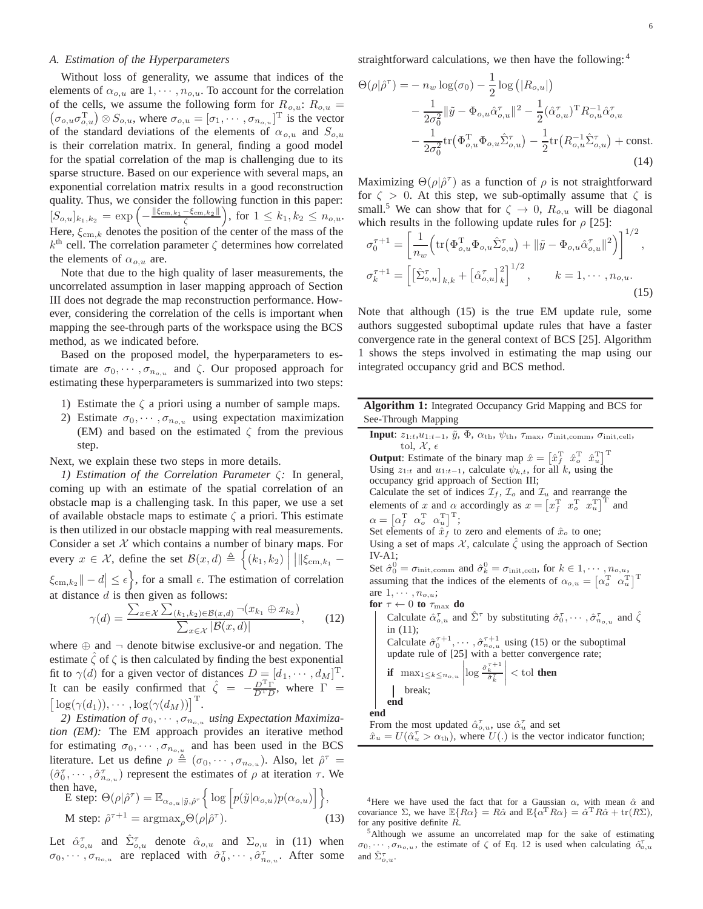### *A. Estimation of the Hyperparameters*

Without loss of generality, we assume that indices of the elements of  $\alpha_{o,u}$  are  $1, \cdots, n_{o,u}$ . To account for the correlation of the cells, we assume the following form for  $R_{o,u}$ :  $R_{o,u}$  =  $(\sigma_{o,u}\sigma_{o,u}^T) \otimes S_{o,u}$ , where  $\sigma_{o,u} = [\sigma_1, \cdots, \sigma_{n_{o,u}}]^T$  is the vector of the standard deviations of the elements of  $\alpha_{o,u}$  and  $S_{o,u}$ is their correlation matrix. In general, finding a good model for the spatial correlation of the map is challenging due to its sparse structure. Based on our experience with several maps, an exponential correlation matrix results in a good reconstruction quality. Thus, we consider the following function in this paper:  $[S_{o,u}]_{k_1,k_2} = \exp\left(-\frac{\|\xi_{\text{cm},k_1} - \xi_{\text{cm},k_2}\|}{\zeta}\right)$ , for  $1 \leq k_1, k_2 \leq n_{o,u}$ . Here,  $\xi_{\text{cm},k}$  denotes the position of the center of the mass of the  $k<sup>th</sup>$  cell. The correlation parameter  $\zeta$  determines how correlated the elements of  $\alpha_{o,u}$  are.

Note that due to the high quality of laser measurements, the uncorrelated assumption in laser mapping approach of Section III does not degrade the map reconstruction performance. However, considering the correlation of the cells is important when mapping the see-through parts of the workspace using the BCS method, as we indicated before.

Based on the proposed model, the hyperparameters to estimate are  $\sigma_0, \cdots, \sigma_{n_{o,u}}$  and  $\zeta$ . Our proposed approach for estimating these hyperparameters is summarized into two steps:

- 1) Estimate the  $\zeta$  a priori using a number of sample maps.
- 2) Estimate  $\sigma_0, \cdots, \sigma_{n_{o,u}}$  using expectation maximization (EM) and based on the estimated  $\zeta$  from the previous step.

Next, we explain these two steps in more details.

*1) Estimation of the Correlation Parameter* ζ*:* In general, coming up with an estimate of the spatial correlation of an obstacle map is a challenging task. In this paper, we use a set of available obstacle maps to estimate  $\zeta$  a priori. This estimate is then utilized in our obstacle mapping with real measurements. Consider a set  $X$  which contains a number of binary maps. For every  $x \in \mathcal{X}$ , define the set  $\mathcal{B}(x, d) \triangleq \{(k_1, k_2) |$  $||\xi_{\mathrm{cm},k_1} |\xi_{\text{cm},k_2}|-d|\leq \epsilon$ , for a small  $\epsilon$ . The estimation of correlation at distance  $d$  is then given as follows:

$$
\gamma(d) = \frac{\sum_{x \in \mathcal{X}} \sum_{(k_1, k_2) \in \mathcal{B}(x,d)} \neg(x_{k_1} \oplus x_{k_2})}{\sum_{x \in \mathcal{X}} |\mathcal{B}(x,d)|},\qquad(12)
$$

where  $\oplus$  and  $\neg$  denote bitwise exclusive-or and negation. The estimate  $\zeta$  of  $\zeta$  is then calculated by finding the best exponential fit to  $\gamma(d)$  for a given vector of distances  $D = [d_1, \cdots, d_M]^T$ . It can be easily confirmed that  $\hat{\zeta} = -\frac{D^{\mathrm{T}}\Gamma}{D^{\mathrm{T}}D}$ , where  $\Gamma =$  $[\log(\gamma(d_1)), \cdots, \log(\gamma(d_M))]^{\mathrm{T}}.$ 

2) Estimation of  $\sigma_0, \cdots, \sigma_{n_{o,u}}$  using Expectation Maximiza*tion (EM):* The EM approach provides an iterative method for estimating  $\sigma_0, \dots, \sigma_{n_{o,u}}$  and has been used in the BCS literature. Let us define  $\rho \triangleq (\sigma_0, \dots, \sigma_{n_{o,u}})$ . Also, let  $\hat{\rho}^{\tau}$  =  $(\hat{\sigma}_0^{\tau}, \cdots, \hat{\sigma}_{n_{o,u}}^{\tau})$  represent the estimates of  $\rho$  at iteration  $\tau$ . We then have,

$$
\text{E step: } \Theta(\rho|\hat{\rho}^{\tau}) = \mathbb{E}_{\alpha_{o,u}|\tilde{y},\hat{\rho}^{\tau}} \Big\{ \log \Big[ p(\tilde{y}|\alpha_{o,u}) p(\alpha_{o,u}) \Big] \Big\},
$$
\n
$$
\text{M step: } \hat{\rho}^{\tau+1} = \operatorname{argmax}_{\rho} \Theta(\rho|\hat{\rho}^{\tau}). \tag{13}
$$

Let  $\hat{\alpha}_{o,u}^{\tau}$  and  $\hat{\Sigma}_{o,u}^{\tau}$  denote  $\hat{\alpha}_{o,u}$  and  $\Sigma_{o,u}$  in (11) when  $\sigma_0, \cdots, \sigma_{n_{o,u}}$  are replaced with  $\hat{\sigma}_0^{\tau}, \cdots, \hat{\sigma}_{n_{o,u}}^{\tau}$ . After some straightforward calculations, we then have the following: 4

$$
\Theta(\rho|\hat{\rho}^{\tau}) = -n_w \log(\sigma_0) - \frac{1}{2} \log (|R_{o,u}|)
$$

$$
- \frac{1}{2\sigma_0^2} ||\tilde{y} - \Phi_{o,u}\hat{\alpha}_{o,u}^{\tau}||^2 - \frac{1}{2}(\hat{\alpha}_{o,u}^{\tau})^{\mathrm{T}} R_{o,u}^{-1} \hat{\alpha}_{o,u}^{\tau}
$$

$$
- \frac{1}{2\sigma_0^2} \text{tr}(\Phi_{o,u}^{\mathrm{T}} \Phi_{o,u} \hat{\Sigma}_{o,u}^{\tau}) - \frac{1}{2} \text{tr}(R_{o,u}^{-1} \hat{\Sigma}_{o,u}^{\tau}) + \text{const.}
$$
(14)

Maximizing  $\Theta(\rho|\hat{\rho}^{\tau})$  as a function of  $\rho$  is not straightforward for  $\zeta > 0$ . At this step, we sub-optimally assume that  $\zeta$  is small.<sup>5</sup> We can show that for  $\zeta \to 0$ ,  $R_{o,u}$  will be diagonal which results in the following update rules for  $\rho$  [25]:

$$
\sigma_0^{\tau+1} = \left[ \frac{1}{n_w} \left( \text{tr} \left( \Phi_{o,u}^{\mathrm{T}} \Phi_{o,u} \hat{\Sigma}_{o,u}^{\tau} \right) + ||\tilde{y} - \Phi_{o,u} \hat{\alpha}_{o,u}^{\tau}||^2 \right) \right]^{1/2},
$$
  

$$
\sigma_k^{\tau+1} = \left[ \left[ \hat{\Sigma}_{o,u}^{\tau} \right]_{k,k} + \left[ \hat{\alpha}_{o,u}^{\tau} \right]_{k}^2 \right]^{1/2}, \qquad k = 1, \cdots, n_{o,u}.
$$
 (15)

Note that although (15) is the true EM update rule, some authors suggested suboptimal update rules that have a faster convergence rate in the general context of BCS [25]. Algorithm 1 shows the steps involved in estimating the map using our integrated occupancy grid and BCS method.

| <b>Algorithm 1:</b> Integrated Occupancy Grid Mapping and BCS for                                                                                     |
|-------------------------------------------------------------------------------------------------------------------------------------------------------|
| See-Through Mapping                                                                                                                                   |
| <b>Input:</b> $z_{1:t}, u_{1:t-1}, \tilde{y}, \Phi, \alpha_{th}, \psi_{th}, \tau_{\text{max}}, \sigma_{\text{init,comm}}, \sigma_{\text{init,cell}},$ |
| tol. $\mathcal{X}, \epsilon$                                                                                                                          |
| <b>Output:</b> Estimate of the binary map $\hat{x} = [\hat{x}_f^T \ \hat{x}_o^T \ \hat{x}_u^T]^T$                                                     |
| Using $z_{1:t}$ and $u_{1:t-1}$ , calculate $\psi_{k,t}$ , for all k, using the                                                                       |
| occupancy grid approach of Section III;                                                                                                               |
| Calculate the set of indices $\mathcal{I}_f$ , $\mathcal{I}_o$ and $\mathcal{I}_u$ and rearrange the                                                  |
| elements of x and $\alpha$ accordingly as $x = [x_f^T \ x_o^T \ x_u^T]^T$ and                                                                         |
| $\alpha = \begin{bmatrix} \alpha_f^T & \alpha_o^T & \alpha_u^T \end{bmatrix}^T;$                                                                      |
| Set elements of $\hat{x}$ to zero and elements of $\hat{x}$ to one:                                                                                   |

Set elements of  $\hat{x}_f$  to zero and elements of  $\hat{x}_o$  to one;<br>Using a set of maps  $\mathcal{X}$ , calculate  $\hat{\zeta}$  using the approach of Section IV-A1;

Set  $\hat{\sigma}_0^0 = \sigma_{init, comm}$  and  $\hat{\sigma}_k^0 = \sigma_{init, cell}$ , for  $k \in 1, \dots, n_{o,u}$ ,<br>essuming that the indices of the elements of  $\hat{\sigma}_k = [\hat{\sigma}_k^T, \hat{\sigma}_k^T]$ assuming that the indices of the elements of  $\alpha_{o,u} = [\alpha_o^T \ \alpha_u^T]^T$ are  $1, \cdots, n_{o,u}$ ;

**for**  $\tau \leftarrow 0$  **to**  $\tau_{\text{max}}$  **do** Calculate  $\hat{\alpha}_{o,u}^{\tau}$  and  $\hat{\Sigma}^{\tau}$  by substituting  $\hat{\sigma}_0^{\tau}, \cdots, \hat{\sigma}_{n_{o,u}}^{\tau}$  and  $\hat{\zeta}$ in (11); Calculate  $\hat{\sigma}_0^{\tau+1}, \dots, \hat{\sigma}_{n_c,u}^{\tau+1}$  using (15) or the suboptimal undate rule of [25] with a better convergence rate: update rule of [25] with a better convergence rate; **if**  $\max_{1 \leq k \leq n_{o,u}} \left| \log \frac{\hat{\sigma}_k^{\tau+1}}{\hat{\sigma}_k^{\tau}} \right|$  <sup>&</sup>lt; tol **then** break; **end end**

From the most updated  $\hat{\alpha}_{o,u}^{\tau}$ , use  $\hat{\alpha}_u^{\tau}$  and set  $\hat{\alpha}_{o}$  and  $\hat{\alpha}_{o}^{\tau}$   $\geq \alpha_{v}$  and  $\hat{\alpha}_{o}^{\tau}$   $\geq \alpha_{v}$  where  $U(\cdot)$  is the vector  $\hat{x}_u = U(\hat{\alpha}_u^{\tau} > \alpha_{\text{th}})$ , where  $U(.)$  is the vector indicator function;

<sup>4</sup>Here we have used the fact that for a Gaussian  $\alpha$ , with mean  $\hat{\alpha}$  and covariance  $\Sigma$ , we have  $\mathbb{E}\{R\alpha\} = R\hat{\alpha}$  and  $\mathbb{E}\{\alpha^{\mathrm{T}}R\alpha\} = \hat{\alpha}^{\mathrm{T}}R\hat{\alpha} + \text{tr}(R\Sigma)$ , for any positive definite R.

<sup>5</sup>Although we assume an uncorrelated map for the sake of estimating  $\sigma_0, \cdots, \sigma_{n_{o,u}}$ , the estimate of  $\zeta$  of Eq. 12 is used when calculating  $\hat{\alpha}_{o,u}^{\tau}$ and  $\hat{\Sigma}_{o,u}^{\tau}$ .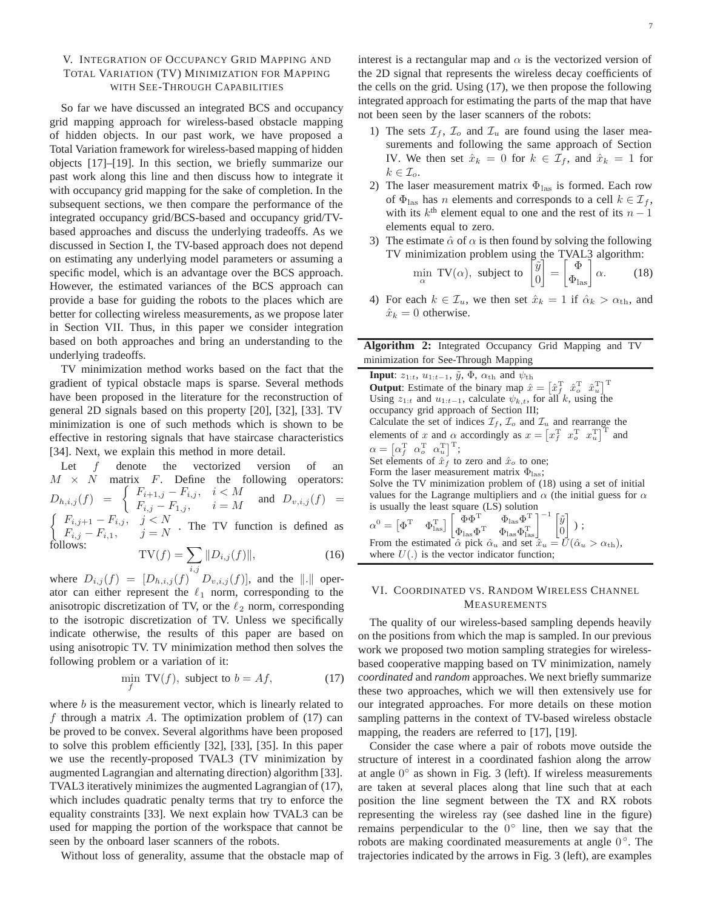# V. INTEGRATION OF OCCUPANCY GRID MAPPING AND TOTAL VARIATION (TV) MINIMIZATION FOR MAPPING WITH SEE-THROUGH CAPABILITIES

So far we have discussed an integrated BCS and occupancy grid mapping approach for wireless-based obstacle mapping of hidden objects. In our past work, we have proposed a Total Variation framework for wireless-based mapping of hidden objects [17]–[19]. In this section, we briefly summarize our past work along this line and then discuss how to integrate it with occupancy grid mapping for the sake of completion. In the subsequent sections, we then compare the performance of the integrated occupancy grid/BCS-based and occupancy grid/TVbased approaches and discuss the underlying tradeoffs. As we discussed in Section I, the TV-based approach does not depend on estimating any underlying model parameters or assuming a specific model, which is an advantage over the BCS approach. However, the estimated variances of the BCS approach can provide a base for guiding the robots to the places which are better for collecting wireless measurements, as we propose later in Section VII. Thus, in this paper we consider integration based on both approaches and bring an understanding to the underlying tradeoffs.

TV minimization method works based on the fact that the gradient of typical obstacle maps is sparse. Several methods have been proposed in the literature for the reconstruction of general 2D signals based on this property [20], [32], [33]. TV minimization is one of such methods which is shown to be effective in restoring signals that have staircase characteristics [34]. Next, we explain this method in more detail.

Let  $f$  denote the vectorized version of an  $M \times N$  matrix F. Define the following operators:  $D_{h,i,j}(f) = \begin{cases} F_{i+1,j} - F_{i,j}, & i < M \\ F_{i,j} - F_{1,j}, & i = M \end{cases}$  and  $D_{v,i,j}(f) =$  $\int F_{i,j+1} - F_{i,j}, \quad j < N$  $\begin{cases} \frac{F_{i,j+1}}{F_{i,j} - F_{i,1}}, & j \leq N \\ F_{i,j} - F_{i,1}, & j = N \end{cases}$ . The TV function is defined as follows:

$$
TV(f) = \sum_{i,j} ||D_{i,j}(f)||,
$$
 (16)

where  $D_{i,j}(f)=[D_{h,i,j} (f) D_{v,i,j} (f)]$ , and the  $||.||$  operator can either represent the  $\ell_1$  norm, corresponding to the anisotropic discretization of TV, or the  $\ell_2$  norm, corresponding to the isotropic discretization of TV. Unless we specifically indicate otherwise, the results of this paper are based on using anisotropic TV. TV minimization method then solves the following problem or a variation of it:

$$
\min_{f} \text{TV}(f), \text{ subject to } b = Af,
$$
 (17)

where  $b$  is the measurement vector, which is linearly related to f through a matrix A. The optimization problem of  $(17)$  can be proved to be convex. Several algorithms have been proposed to solve this problem efficiently [32], [33], [35]. In this paper we use the recently-proposed TVAL3 (TV minimization by augmented Lagrangian and alternating direction) algorithm [33]. TVAL3 iteratively minimizes the augmented Lagrangian of (17), which includes quadratic penalty terms that try to enforce the equality constraints [33]. We next explain how TVAL3 can be used for mapping the portion of the workspace that cannot be seen by the onboard laser scanners of the robots.

Without loss of generality, assume that the obstacle map of

interest is a rectangular map and  $\alpha$  is the vectorized version of the 2D signal that represents the wireless decay coefficients of the cells on the grid. Using (17), we then propose the following integrated approach for estimating the parts of the map that have not been seen by the laser scanners of the robots:

- 1) The sets  $\mathcal{I}_f$ ,  $\mathcal{I}_o$  and  $\mathcal{I}_u$  are found using the laser measurements and following the same approach of Section IV. We then set  $\hat{x}_k = 0$  for  $k \in \mathcal{I}_f$ , and  $\hat{x}_k = 1$  for  $k \in \mathcal{I}_o$ .
- 2) The laser measurement matrix  $\Phi_{\text{las}}$  is formed. Each row of  $\Phi_{\text{las}}$  has *n* elements and corresponds to a cell  $k \in \mathcal{I}_f$ , with its  $k^{\text{th}}$  element equal to one and the rest of its  $n-1$ elements equal to zero.
- 3) The estimate  $\hat{\alpha}$  of  $\alpha$  is then found by solving the following TV minimization problem using the TVAL3 algorithm:

$$
\min_{\alpha} \text{TV}(\alpha), \text{ subject to } \begin{bmatrix} \bar{y} \\ 0 \end{bmatrix} = \begin{bmatrix} \Phi \\ \Phi_{\text{las}} \end{bmatrix} \alpha. \tag{18}
$$

4) For each  $k \in \mathcal{I}_u$ , we then set  $\hat{x}_k = 1$  if  $\hat{\alpha}_k > \alpha_{\text{th}}$ , and  $\hat{x}_k = 0$  otherwise.

**Algorithm 2:** Integrated Occupancy Grid Mapping and TV minimization for See-Through Mapping

**Input**:  $z_{1:t}$ ,  $u_{1:t-1}$ ,  $\tilde{y}$ ,  $\Phi$ ,  $\alpha_{th}$  and  $\psi_{th}$ <br>**Output:** Estimate of the binary man  $\hat{x}$ **Output:** Estimate of the binary map  $\hat{x} = \begin{bmatrix} \hat{x}_1^T & \hat{x}_2^T & \hat{x}_3^T \end{bmatrix}^T$ <br>Using  $z_{1:t}$  and  $y_{1:t+1}$  calculate  $y_{2:t+1}$  for all k using the Using  $z_{1:t}$  and  $u_{1:t-1}$ , calculate  $\psi_{k,t}$ , for all k, using the occupancy grid approach of Section III; Calculate the set of indices  $\mathcal{I}_f$ ,  $\mathcal{I}_o$  and  $\mathcal{I}_u$  and rearrange the elements of x and  $\alpha$  accordingly as  $x = \begin{bmatrix} x_f^T & x_o^T & x_u^T \end{bmatrix}^T$  and  $\alpha = \begin{bmatrix} \alpha_f^{\rm T} & \alpha_o^{\rm T} & \alpha_u^{\rm T} \end{bmatrix}^{\rm T};$ <br>Set elements of  $\hat{\tau}_f$  to Set elements of  $\hat{x}_f$  to zero and  $\hat{x}_o$  to one; Form the laser measurement matrix  $\Phi_{\text{las}}$ ; Solve the TV minimization problem of (18) using a set of initial values for the Lagrange multipliers and  $\alpha$  (the initial guess for  $\alpha$ is usually the least square (LS) solution<br>  $0 \quad \begin{bmatrix} 0 & \begin{bmatrix} \end{bmatrix} \end{bmatrix} \begin{bmatrix} \end{bmatrix} \end{bmatrix} \begin{bmatrix} \Phi \Phi^T & \Phi_{\text{las}} \Phi^T \end{bmatrix}$  $\alpha^0 = [$  $\Phi^{\rm T}_{\rm las} \big]$  $\begin{bmatrix} \mathbf{T} \ \mathbf{d}\mathbf{a} \end{bmatrix} \begin{bmatrix} \mathbf{\Phi}\mathbf{\Phi}^{\mathrm{T}} & \mathbf{\Phi}_{\mathrm{las}}\mathbf{\Phi}^{\mathrm{T}} \ \mathbf{\Phi}_{\mathrm{a}} & \mathbf{\Phi}^{\mathrm{T}} & \mathbf{\Phi}_{\mathrm{b}} & \mathbf{\Phi}^{\mathrm{T}} \end{bmatrix}$  $\left[\begin{matrix} \Phi \Phi^T & \Phi_{\text{las}} \Phi^T \\ \Phi_{\text{las}} \Phi^T & \Phi_{\text{las}} \Phi_{\text{las}}^T \end{matrix}\right]^{-1} \left[\begin{matrix} \Phi_{\text{las}} \Phi_{\text{las}} & \Phi_{\text{las}} \Phi_{\text{las}} \end{matrix}\right]$  $\begin{bmatrix} \tilde{y} \\ 0 \end{bmatrix}$ ); From the estimated  $\hat{\alpha}_u$  and set  $\hat{x}_u = U(\hat{\alpha}_u > \alpha_{\text{th}})$ ,<br>where  $U(\cdot)$  is the vector indicator function. where  $U(.)$  is the vector indicator function;

## VI. COORDINATED VS. RANDOM WIRELESS CHANNEL MEASUREMENTS

The quality of our wireless-based sampling depends heavily on the positions from which the map is sampled. In our previous work we proposed two motion sampling strategies for wirelessbased cooperative mapping based on TV minimization, namely *coordinated* and *random* approaches. We next briefly summarize these two approaches, which we will then extensively use for our integrated approaches. For more details on these motion sampling patterns in the context of TV-based wireless obstacle mapping, the readers are referred to [17], [19].

Consider the case where a pair of robots move outside the structure of interest in a coordinated fashion along the arrow at angle  $0°$  as shown in Fig. 3 (left). If wireless measurements are taken at several places along that line such that at each position the line segment between the TX and RX robots representing the wireless ray (see dashed line in the figure) remains perpendicular to the  $0<sup>°</sup>$  line, then we say that the robots are making coordinated measurements at angle  $0^\circ$ . The trajectories indicated by the arrows in Fig. 3 (left), are examples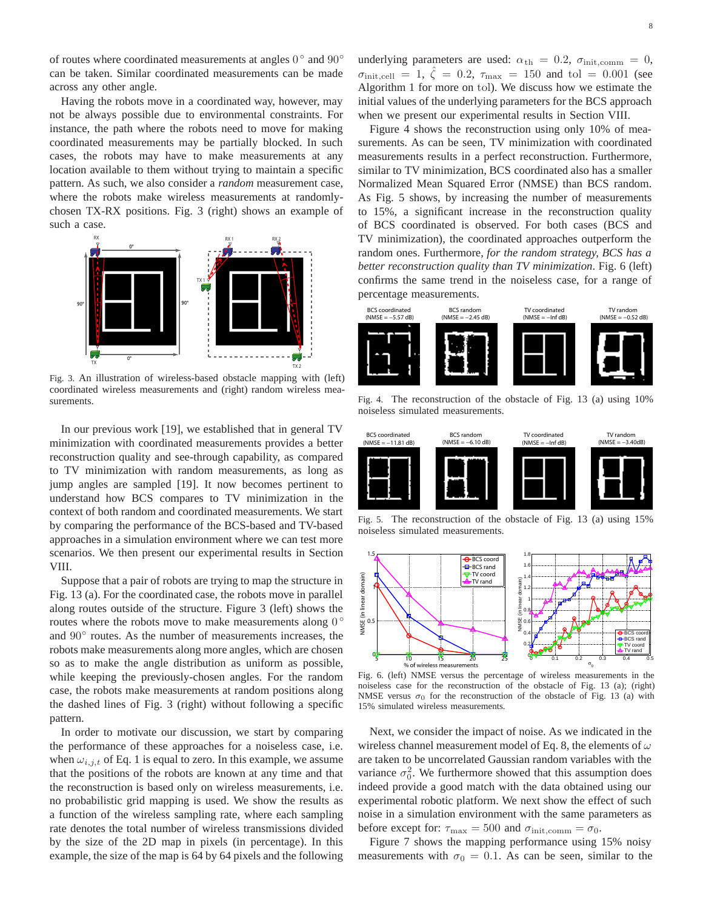of routes where coordinated measurements at angles  $0^{\circ}$  and  $90^{\circ}$ can be taken. Similar coordinated measurements can be made across any other angle.

Having the robots move in a coordinated way, however, may not be always possible due to environmental constraints. For instance, the path where the robots need to move for making coordinated measurements may be partially blocked. In such cases, the robots may have to make measurements at any location available to them without trying to maintain a specific pattern. As such, we also consider a *random* measurement case, where the robots make wireless measurements at randomlychosen TX-RX positions. Fig. 3 (right) shows an example of such a case.



Fig. 3. An illustration of wireless-based obstacle mapping with (left) coordinated wireless measurements and (right) random wireless measurements.

In our previous work [19], we established that in general TV minimization with coordinated measurements provides a better reconstruction quality and see-through capability, as compared to TV minimization with random measurements, as long as jump angles are sampled [19]. It now becomes pertinent to understand how BCS compares to TV minimization in the context of both random and coordinated measurements. We start by comparing the performance of the BCS-based and TV-based approaches in a simulation environment where we can test more scenarios. We then present our experimental results in Section VIII.

Suppose that a pair of robots are trying to map the structure in Fig. 13 (a). For the coordinated case, the robots move in parallel along routes outside of the structure. Figure 3 (left) shows the routes where the robots move to make measurements along  $0^{\circ}$ and 90◦ routes. As the number of measurements increases, the robots make measurements along more angles, which are chosen so as to make the angle distribution as uniform as possible, while keeping the previously-chosen angles. For the random case, the robots make measurements at random positions along the dashed lines of Fig. 3 (right) without following a specific pattern.

In order to motivate our discussion, we start by comparing the performance of these approaches for a noiseless case, i.e. when  $\omega_{i,j,t}$  of Eq. 1 is equal to zero. In this example, we assume that the positions of the robots are known at any time and that the reconstruction is based only on wireless measurements, i.e. no probabilistic grid mapping is used. We show the results as a function of the wireless sampling rate, where each sampling rate denotes the total number of wireless transmissions divided by the size of the 2D map in pixels (in percentage). In this example, the size of the map is 64 by 64 pixels and the following

underlying parameters are used:  $\alpha_{\text{th}} = 0.2$ ,  $\sigma_{\text{init,comm}} = 0$ ,  $\sigma_{\text{init,cell}} = 1, \zeta = 0.2, \tau_{\text{max}} = 150 \text{ and } \text{tol} = 0.001 \text{ (see }$ Algorithm 1 for more on tol). We discuss how we estimate the initial values of the underlying parameters for the BCS approach when we present our experimental results in Section VIII.

Figure 4 shows the reconstruction using only 10% of measurements. As can be seen, TV minimization with coordinated measurements results in a perfect reconstruction. Furthermore, similar to TV minimization, BCS coordinated also has a smaller Normalized Mean Squared Error (NMSE) than BCS random. As Fig. 5 shows, by increasing the number of measurements to 15%, a significant increase in the reconstruction quality of BCS coordinated is observed. For both cases (BCS and TV minimization), the coordinated approaches outperform the random ones. Furthermore, *for the random strategy, BCS has a better reconstruction quality than TV minimization*. Fig. 6 (left) confirms the same trend in the noiseless case, for a range of percentage measurements.



Fig. 4. The reconstruction of the obstacle of Fig. 13 (a) using 10% noiseless simulated measurements.



Fig. 5. The reconstruction of the obstacle of Fig. 13 (a) using 15% noiseless simulated measurements.



Fig. 6. (left) NMSE versus the percentage of wireless measurements in the noiseless case for the reconstruction of the obstacle of Fig. 13 (a); (right) NMSE versus  $\sigma_0$  for the reconstruction of the obstacle of Fig. 13 (a) with 15% simulated wireless measurements.

Next, we consider the impact of noise. As we indicated in the wireless channel measurement model of Eq. 8, the elements of  $\omega$ are taken to be uncorrelated Gaussian random variables with the variance  $\sigma_0^2$ . We furthermore showed that this assumption does indeed provide a good match with the data obtained using our experimental robotic platform. We next show the effect of such noise in a simulation environment with the same parameters as before except for:  $\tau_{\text{max}} = 500$  and  $\sigma_{\text{init,comm}} = \sigma_0$ .

Figure 7 shows the mapping performance using 15% noisy measurements with  $\sigma_0 = 0.1$ . As can be seen, similar to the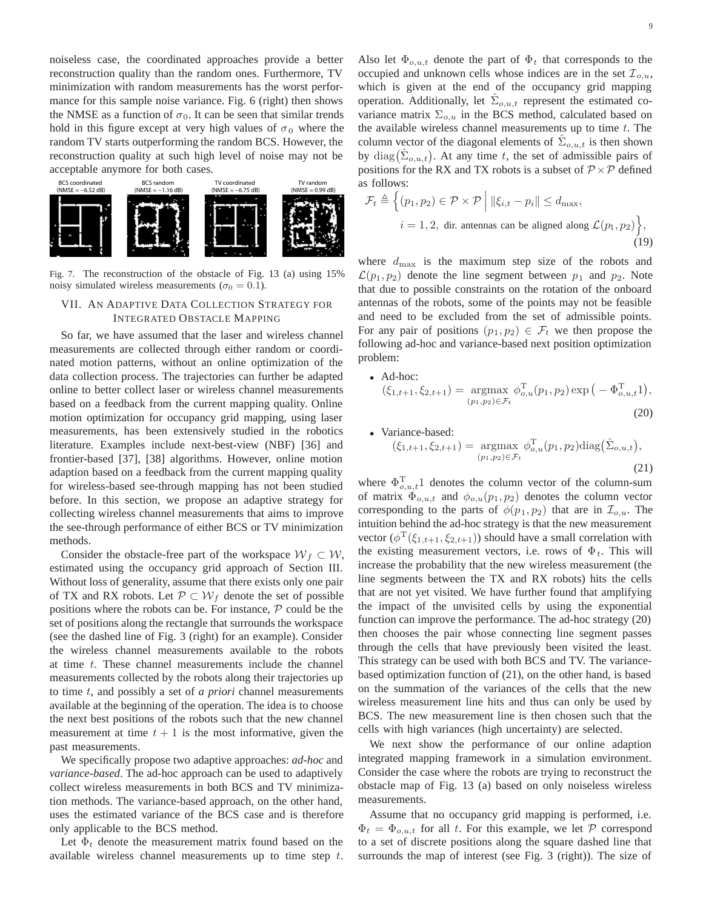noiseless case, the coordinated approaches provide a better reconstruction quality than the random ones. Furthermore, TV minimization with random measurements has the worst performance for this sample noise variance. Fig. 6 (right) then shows the NMSE as a function of  $\sigma_0$ . It can be seen that similar trends hold in this figure except at very high values of  $\sigma_0$  where the random TV starts outperforming the random BCS. However, the reconstruction quality at such high level of noise may not be acceptable anymore for both cases.



Fig. 7. The reconstruction of the obstacle of Fig. 13 (a) using 15% noisy simulated wireless measurements ( $\sigma_0 = 0.1$ ).

## VII. AN ADAPTIVE DATA COLLECTION STRATEGY FOR INTEGRATED OBSTACLE MAPPING

So far, we have assumed that the laser and wireless channel measurements are collected through either random or coordinated motion patterns, without an online optimization of the data collection process. The trajectories can further be adapted online to better collect laser or wireless channel measurements based on a feedback from the current mapping quality. Online motion optimization for occupancy grid mapping, using laser measurements, has been extensively studied in the robotics literature. Examples include next-best-view (NBF) [36] and frontier-based [37], [38] algorithms. However, online motion adaption based on a feedback from the current mapping quality for wireless-based see-through mapping has not been studied before. In this section, we propose an adaptive strategy for collecting wireless channel measurements that aims to improve the see-through performance of either BCS or TV minimization methods.

Consider the obstacle-free part of the workspace  $W_f \subset W$ , estimated using the occupancy grid approach of Section III. Without loss of generality, assume that there exists only one pair of TX and RX robots. Let  $\mathcal{P} \subset \mathcal{W}_f$  denote the set of possible positions where the robots can be. For instance,  $P$  could be the set of positions along the rectangle that surrounds the workspace (see the dashed line of Fig. 3 (right) for an example). Consider the wireless channel measurements available to the robots at time t. These channel measurements include the channel measurements collected by the robots along their trajectories up to time t, and possibly a set of *a priori* channel measurements available at the beginning of the operation. The idea is to choose the next best positions of the robots such that the new channel measurement at time  $t + 1$  is the most informative, given the past measurements.

We specifically propose two adaptive approaches: *ad-hoc* and *variance-based*. The ad-hoc approach can be used to adaptively collect wireless measurements in both BCS and TV minimization methods. The variance-based approach, on the other hand, uses the estimated variance of the BCS case and is therefore only applicable to the BCS method.

Let  $\Phi_t$  denote the measurement matrix found based on the available wireless channel measurements up to time step t. Also let  $\Phi_{o,u,t}$  denote the part of  $\Phi_t$  that corresponds to the occupied and unknown cells whose indices are in the set  $\mathcal{I}_{o,u}$ , which is given at the end of the occupancy grid mapping operation. Additionally, let  $\Sigma_{o,u,t}$  represent the estimated covariance matrix  $\Sigma_{o,u}$  in the BCS method, calculated based on the available wireless channel measurements up to time  $t$ . The column vector of the diagonal elements of  $\Sigma_{o,u,t}$  is then shown by  $diag(\hat{\Sigma}_{o,u,t})$ . At any time t, the set of admissible pairs of positions for the RX and TX robots is a subset of  $\mathcal{P} \times \mathcal{P}$  defined as follows:

$$
\mathcal{F}_t \triangleq \Big\{ (p_1, p_2) \in \mathcal{P} \times \mathcal{P} \Big| \| \xi_{i,t} - p_i \| \le d_{\text{max}},
$$
  

$$
i = 1, 2, \text{ dir. antennas can be aligned along } \mathcal{L}(p_1, p_2) \Big\},
$$
  
(19)

where  $d_{\text{max}}$  is the maximum step size of the robots and  $\mathcal{L}(p_1, p_2)$  denote the line segment between  $p_1$  and  $p_2$ . Note that due to possible constraints on the rotation of the onboard antennas of the robots, some of the points may not be feasible and need to be excluded from the set of admissible points. For any pair of positions  $(p_1, p_2) \in \mathcal{F}_t$  we then propose the following ad-hoc and variance-based next position optimization problem:

• Ad-hoc:  
\n
$$
(\xi_{1,t+1}, \xi_{2,t+1}) = \underset{(p_1, p_2) \in \mathcal{F}_t}{\text{argmax}} \phi_{o,u}^{\mathrm{T}}(p_1, p_2) \exp\left(-\Phi_{o,u,t}^{\mathrm{T}} 1\right),\tag{20}
$$

• Variance-based:

$$
(\xi_{1,t+1}, \xi_{2,t+1}) = \underset{(p_1, p_2) \in \mathcal{F}_t}{\text{argmax}} \phi_{o,u}^{\mathrm{T}}(p_1, p_2) \text{diag}(\hat{\Sigma}_{o,u,t}),
$$
\n(21)

where  $\Phi_{o,u,t}^{\mathrm{T}}$  denotes the column vector of the column-sum of matrix  $\Phi_{o,u,t}$  and  $\phi_{o,u}(p_1,p_2)$  denotes the column vector corresponding to the parts of  $\phi(p_1, p_2)$  that are in  $\mathcal{I}_{o,u}$ . The intuition behind the ad-hoc strategy is that the new measurement vector  $(\phi^T(\xi_{1,t+1}, \xi_{2,t+1}))$  should have a small correlation with the existing measurement vectors, i.e. rows of  $\Phi_t$ . This will increase the probability that the new wireless measurement (the line segments between the TX and RX robots) hits the cells that are not yet visited. We have further found that amplifying the impact of the unvisited cells by using the exponential function can improve the performance. The ad-hoc strategy (20) then chooses the pair whose connecting line segment passes through the cells that have previously been visited the least. This strategy can be used with both BCS and TV. The variancebased optimization function of (21), on the other hand, is based on the summation of the variances of the cells that the new wireless measurement line hits and thus can only be used by BCS. The new measurement line is then chosen such that the cells with high variances (high uncertainty) are selected.

We next show the performance of our online adaption integrated mapping framework in a simulation environment. Consider the case where the robots are trying to reconstruct the obstacle map of Fig. 13 (a) based on only noiseless wireless measurements.

Assume that no occupancy grid mapping is performed, i.e.  $\Phi_t = \Phi_{o,u,t}$  for all t. For this example, we let P correspond to a set of discrete positions along the square dashed line that surrounds the map of interest (see Fig. 3 (right)). The size of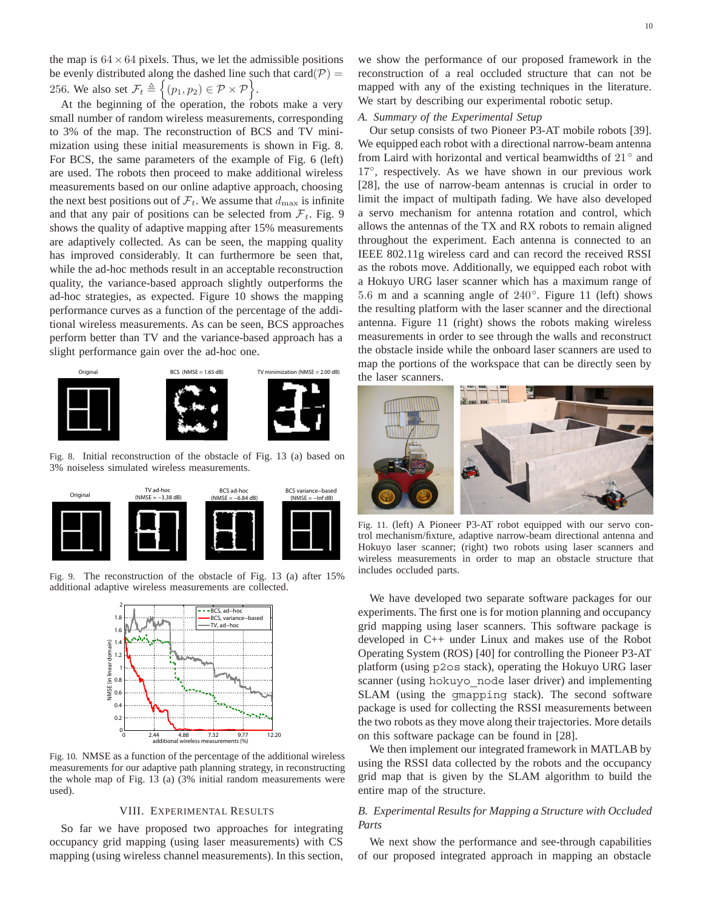the map is  $64 \times 64$  pixels. Thus, we let the admissible positions be evenly distributed along the dashed line such that  $card(\mathcal{P}) =$ 256. We also set  $\mathcal{F}_t \triangleq \{(p_1, p_2) \in \mathcal{P} \times \mathcal{P}\}.$ 

At the beginning of the operation, the robots make a very small number of random wireless measurements, corresponding to 3% of the map. The reconstruction of BCS and TV minimization using these initial measurements is shown in Fig. 8. For BCS, the same parameters of the example of Fig. 6 (left) are used. The robots then proceed to make additional wireless measurements based on our online adaptive approach, choosing the next best positions out of  $\mathcal{F}_t$ . We assume that  $d_{\text{max}}$  is infinite and that any pair of positions can be selected from  $\mathcal{F}_t$ . Fig. 9 shows the quality of adaptive mapping after 15% measurements are adaptively collected. As can be seen, the mapping quality has improved considerably. It can furthermore be seen that, while the ad-hoc methods result in an acceptable reconstruction quality, the variance-based approach slightly outperforms the ad-hoc strategies, as expected. Figure 10 shows the mapping performance curves as a function of the percentage of the additional wireless measurements. As can be seen, BCS approaches perform better than TV and the variance-based approach has a slight performance gain over the ad-hoc one.



Fig. 8. Initial reconstruction of the obstacle of Fig. 13 (a) based on 3% noiseless simulated wireless measurements.



Fig. 9. The reconstruction of the obstacle of Fig. 13 (a) after 15% additional adaptive wireless measurements are collected.



Fig. 10. NMSE as a function of the percentage of the additional wireless measurements for our adaptive path planning strategy, in reconstructing the whole map of Fig. 13 (a) (3% initial random measurements were used).

## VIII. EXPERIMENTAL RESULTS

So far we have proposed two approaches for integrating occupancy grid mapping (using laser measurements) with CS mapping (using wireless channel measurements). In this section,

we show the performance of our proposed framework in the reconstruction of a real occluded structure that can not be mapped with any of the existing techniques in the literature. We start by describing our experimental robotic setup.

#### *A. Summary of the Experimental Setup*

Our setup consists of two Pioneer P3-AT mobile robots [39]. We equipped each robot with a directional narrow-beam antenna from Laird with horizontal and vertical beamwidths of  $21°$  and 17<sup>°</sup>, respectively. As we have shown in our previous work [28], the use of narrow-beam antennas is crucial in order to limit the impact of multipath fading. We have also developed a servo mechanism for antenna rotation and control, which allows the antennas of the TX and RX robots to remain aligned throughout the experiment. Each antenna is connected to an IEEE 802.11g wireless card and can record the received RSSI as the robots move. Additionally, we equipped each robot with a Hokuyo URG laser scanner which has a maximum range of 5.6 m and a scanning angle of 240◦. Figure 11 (left) shows the resulting platform with the laser scanner and the directional antenna. Figure 11 (right) shows the robots making wireless measurements in order to see through the walls and reconstruct the obstacle inside while the onboard laser scanners are used to map the portions of the workspace that can be directly seen by the laser scanners.



Fig. 11. (left) A Pioneer P3-AT robot equipped with our servo control mechanism/fixture, adaptive narrow-beam directional antenna and Hokuyo laser scanner; (right) two robots using laser scanners and wireless measurements in order to map an obstacle structure that includes occluded parts.

We have developed two separate software packages for our experiments. The first one is for motion planning and occupancy grid mapping using laser scanners. This software package is developed in C++ under Linux and makes use of the Robot Operating System (ROS) [40] for controlling the Pioneer P3-AT platform (using p2os stack), operating the Hokuyo URG laser scanner (using hokuyo\_node laser driver) and implementing SLAM (using the gmapping stack). The second software package is used for collecting the RSSI measurements between the two robots as they move along their trajectories. More details on this software package can be found in [28].

We then implement our integrated framework in MATLAB by using the RSSI data collected by the robots and the occupancy grid map that is given by the SLAM algorithm to build the entire map of the structure.

# *B. Experimental Results for Mapping a Structure with Occluded Parts*

We next show the performance and see-through capabilities of our proposed integrated approach in mapping an obstacle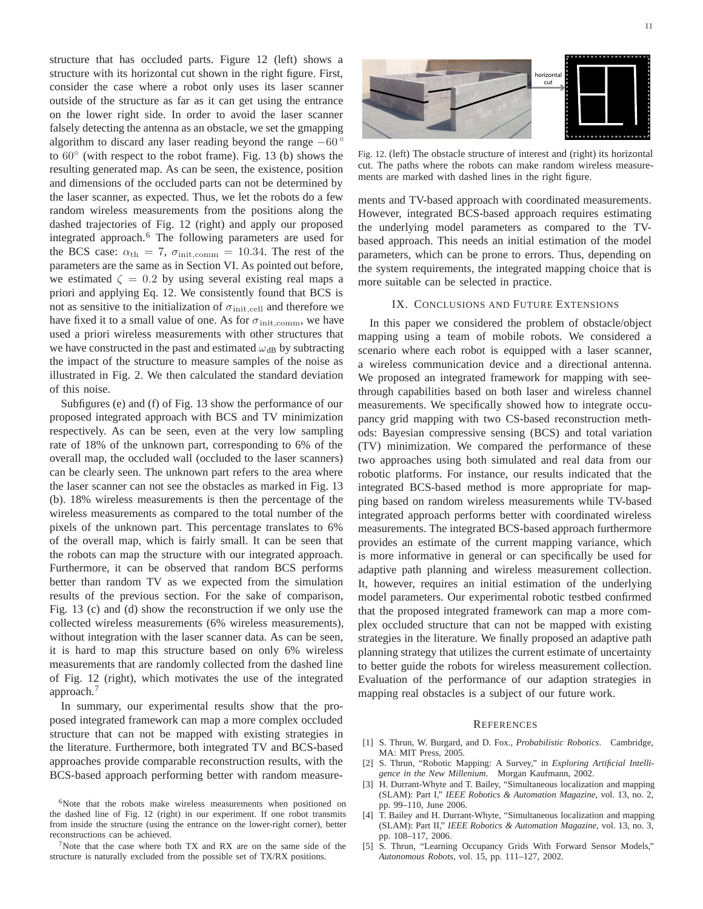structure that has occluded parts. Figure 12 (left) shows a structure with its horizontal cut shown in the right figure. First, consider the case where a robot only uses its laser scanner outside of the structure as far as it can get using the entrance on the lower right side. In order to avoid the laser scanner falsely detecting the antenna as an obstacle, we set the gmapping algorithm to discard any laser reading beyond the range  $-60^\circ$ to 60◦ (with respect to the robot frame). Fig. 13 (b) shows the resulting generated map. As can be seen, the existence, position and dimensions of the occluded parts can not be determined by the laser scanner, as expected. Thus, we let the robots do a few random wireless measurements from the positions along the dashed trajectories of Fig. 12 (right) and apply our proposed integrated approach.<sup>6</sup> The following parameters are used for the BCS case:  $\alpha_{\text{th}} = 7$ ,  $\sigma_{\text{init,comm}} = 10.34$ . The rest of the parameters are the same as in Section VI. As pointed out before, we estimated  $\zeta = 0.2$  by using several existing real maps a priori and applying Eq. 12. We consistently found that BCS is not as sensitive to the initialization of  $\sigma_{\text{init,cell}}$  and therefore we have fixed it to a small value of one. As for  $\sigma_{\text{init,comm}}$ , we have used a priori wireless measurements with other structures that we have constructed in the past and estimated  $\omega_{dB}$  by subtracting the impact of the structure to measure samples of the noise as illustrated in Fig. 2. We then calculated the standard deviation of this noise.

Subfigures (e) and (f) of Fig. 13 show the performance of our proposed integrated approach with BCS and TV minimization respectively. As can be seen, even at the very low sampling rate of 18% of the unknown part, corresponding to 6% of the overall map, the occluded wall (occluded to the laser scanners) can be clearly seen. The unknown part refers to the area where the laser scanner can not see the obstacles as marked in Fig. 13 (b). 18% wireless measurements is then the percentage of the wireless measurements as compared to the total number of the pixels of the unknown part. This percentage translates to 6% of the overall map, which is fairly small. It can be seen that the robots can map the structure with our integrated approach. Furthermore, it can be observed that random BCS performs better than random TV as we expected from the simulation results of the previous section. For the sake of comparison, Fig. 13 (c) and (d) show the reconstruction if we only use the collected wireless measurements (6% wireless measurements), without integration with the laser scanner data. As can be seen, it is hard to map this structure based on only 6% wireless measurements that are randomly collected from the dashed line of Fig. 12 (right), which motivates the use of the integrated approach.<sup>7</sup>

In summary, our experimental results show that the proposed integrated framework can map a more complex occluded structure that can not be mapped with existing strategies in the literature. Furthermore, both integrated TV and BCS-based approaches provide comparable reconstruction results, with the BCS-based approach performing better with random measure-



Fig. 12. (left) The obstacle structure of interest and (right) its horizontal cut. The paths where the robots can make random wireless measurements are marked with dashed lines in the right figure.

ments and TV-based approach with coordinated measurements. However, integrated BCS-based approach requires estimating the underlying model parameters as compared to the TVbased approach. This needs an initial estimation of the model parameters, which can be prone to errors. Thus, depending on the system requirements, the integrated mapping choice that is more suitable can be selected in practice.

## IX. CONCLUSIONS AND FUTURE EXTENSIONS

In this paper we considered the problem of obstacle/object mapping using a team of mobile robots. We considered a scenario where each robot is equipped with a laser scanner, a wireless communication device and a directional antenna. We proposed an integrated framework for mapping with seethrough capabilities based on both laser and wireless channel measurements. We specifically showed how to integrate occupancy grid mapping with two CS-based reconstruction methods: Bayesian compressive sensing (BCS) and total variation (TV) minimization. We compared the performance of these two approaches using both simulated and real data from our robotic platforms. For instance, our results indicated that the integrated BCS-based method is more appropriate for mapping based on random wireless measurements while TV-based integrated approach performs better with coordinated wireless measurements. The integrated BCS-based approach furthermore provides an estimate of the current mapping variance, which is more informative in general or can specifically be used for adaptive path planning and wireless measurement collection. It, however, requires an initial estimation of the underlying model parameters. Our experimental robotic testbed confirmed that the proposed integrated framework can map a more complex occluded structure that can not be mapped with existing strategies in the literature. We finally proposed an adaptive path planning strategy that utilizes the current estimate of uncertainty to better guide the robots for wireless measurement collection. Evaluation of the performance of our adaption strategies in mapping real obstacles is a subject of our future work.

#### **REFERENCES**

- [1] S. Thrun, W. Burgard, and D. Fox., *Probabilistic Robotics*. Cambridge, MA: MIT Press, 2005.
- [2] S. Thrun, "Robotic Mapping: A Survey," in *Exploring Artificial Intelligence in the New Millenium*. Morgan Kaufmann, 2002.
- [3] H. Durrant-Whyte and T. Bailey, "Simultaneous localization and mapping (SLAM): Part I," *IEEE Robotics & Automation Magazine*, vol. 13, no. 2, pp. 99–110, June 2006.
- [4] T. Bailey and H. Durrant-Whyte, "Simultaneous localization and mapping (SLAM): Part II," *IEEE Robotics & Automation Magazine*, vol. 13, no. 3, pp. 108–117, 2006.
- [5] S. Thrun, "Learning Occupancy Grids With Forward Sensor Models," *Autonomous Robots*, vol. 15, pp. 111–127, 2002.

<sup>&</sup>lt;sup>6</sup>Note that the robots make wireless measurements when positioned on the dashed line of Fig. 12 (right) in our experiment. If one robot transmits from inside the structure (using the entrance on the lower-right corner), better reconstructions can be achieved.

<sup>&</sup>lt;sup>7</sup>Note that the case where both TX and RX are on the same side of the structure is naturally excluded from the possible set of TX/RX positions.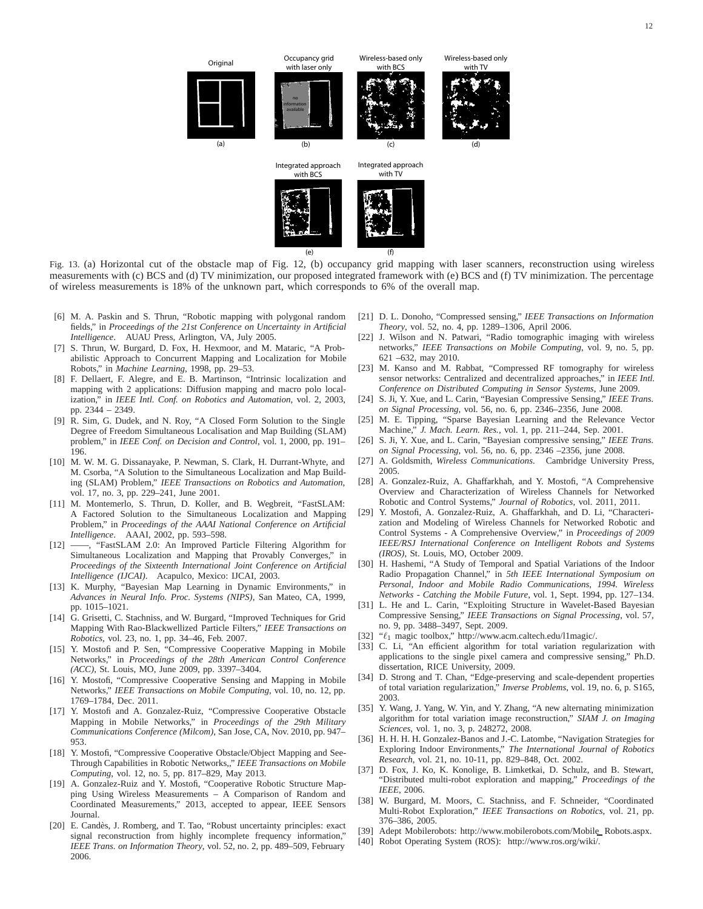

Fig. 13. (a) Horizontal cut of the obstacle map of Fig. 12, (b) occupancy grid mapping with laser scanners, reconstruction using wireless measurements with (c) BCS and (d) TV minimization, our proposed integrated framework with (e) BCS and (f) TV minimization. The percentage of wireless measurements is 18% of the unknown part, which corresponds to 6% of the overall map.

- [6] M. A. Paskin and S. Thrun, "Robotic mapping with polygonal random fields," in *Proceedings of the 21st Conference on Uncertainty in Artificial Intelligence*. AUAU Press, Arlington, VA, July 2005.
- [7] S. Thrun, W. Burgard, D. Fox, H. Hexmoor, and M. Mataric, "A Probabilistic Approach to Concurrent Mapping and Localization for Mobile Robots," in *Machine Learning*, 1998, pp. 29–53.
- [8] F. Dellaert, F. Alegre, and E. B. Martinson, "Intrinsic localization and mapping with 2 applications: Diffusion mapping and macro polo localization," in *IEEE Intl. Conf. on Robotics and Automation*, vol. 2, 2003, pp. 2344 – 2349.
- [9] R. Sim, G. Dudek, and N. Roy, "A Closed Form Solution to the Single Degree of Freedom Simultaneous Localisation and Map Building (SLAM) problem," in *IEEE Conf. on Decision and Control*, vol. 1, 2000, pp. 191– 196.
- [10] M. W. M. G. Dissanayake, P. Newman, S. Clark, H. Durrant-Whyte, and M. Csorba, "A Solution to the Simultaneous Localization and Map Building (SLAM) Problem," *IEEE Transactions on Robotics and Automation*, vol. 17, no. 3, pp. 229–241, June 2001.
- [11] M. Montemerlo, S. Thrun, D. Koller, and B. Wegbreit, "FastSLAM: A Factored Solution to the Simultaneous Localization and Mapping Problem," in *Proceedings of the AAAI National Conference on Artificial Intelligence*. AAAI, 2002, pp. 593–598.
- [12] ——, "FastSLAM 2.0: An Improved Particle Filtering Algorithm for Simultaneous Localization and Mapping that Provably Converges," in *Proceedings of the Sixteenth International Joint Conference on Artificial Intelligence (IJCAI)*. Acapulco, Mexico: IJCAI, 2003.
- [13] K. Murphy, "Bayesian Map Learning in Dynamic Environments," in *Advances in Neural Info. Proc. Systems (NIPS)*, San Mateo, CA, 1999, pp. 1015–1021.
- [14] G. Grisetti, C. Stachniss, and W. Burgard, "Improved Techniques for Grid Mapping With Rao-Blackwellized Particle Filters," *IEEE Transactions on Robotics*, vol. 23, no. 1, pp. 34–46, Feb. 2007.
- [15] Y. Mostofi and P. Sen, "Compressive Cooperative Mapping in Mobile Networks," in *Proceedings of the 28th American Control Conference (ACC)*, St. Louis, MO, June 2009, pp. 3397–3404.
- [16] Y. Mostofi, "Compressive Cooperative Sensing and Mapping in Mobile Networks," *IEEE Transactions on Mobile Computing*, vol. 10, no. 12, pp. 1769–1784, Dec. 2011.
- [17] Y. Mostofi and A. Gonzalez-Ruiz, "Compressive Cooperative Obstacle Mapping in Mobile Networks," in *Proceedings of the 29th Military Communications Conference (Milcom)*, San Jose, CA, Nov. 2010, pp. 947– 953.
- [18] Y. Mostofi, "Compressive Cooperative Obstacle/Object Mapping and See-Through Capabilities in Robotic Networks,," *IEEE Transactions on Mobile Computing*, vol. 12, no. 5, pp. 817–829, May 2013.
- [19] A. Gonzalez-Ruiz and Y. Mostofi, "Cooperative Robotic Structure Mapping Using Wireless Measurements – A Comparison of Random and Coordinated Measurements," 2013, accepted to appear, IEEE Sensors Journal.
- [20] E. Candès, J. Romberg, and T. Tao, "Robust uncertainty principles: exact signal reconstruction from highly incomplete frequency information," *IEEE Trans. on Information Theory*, vol. 52, no. 2, pp. 489–509, February 2006.
- [21] D. L. Donoho, "Compressed sensing," *IEEE Transactions on Information Theory*, vol. 52, no. 4, pp. 1289–1306, April 2006.
- [22] J. Wilson and N. Patwari, "Radio tomographic imaging with wireless networks," *IEEE Transactions on Mobile Computing*, vol. 9, no. 5, pp. 621 –632, may 2010.
- [23] M. Kanso and M. Rabbat, "Compressed RF tomography for wireless sensor networks: Centralized and decentralized approaches," in *IEEE Intl. Conference on Distributed Computing in Sensor Systems*, June 2009.
- [24] S. Ji, Y. Xue, and L. Carin, "Bayesian Compressive Sensing," *IEEE Trans. on Signal Processing*, vol. 56, no. 6, pp. 2346–2356, June 2008.
- [25] M. E. Tipping, "Sparse Bayesian Learning and the Relevance Vector Machine," *J. Mach. Learn. Res.*, vol. 1, pp. 211–244, Sep. 2001.
- [26] S. Ji, Y. Xue, and L. Carin, "Bayesian compressive sensing," *IEEE Trans. on Signal Processing*, vol. 56, no. 6, pp. 2346 –2356, june 2008.
- [27] A. Goldsmith, *Wireless Communications*. Cambridge University Press, 2005.
- [28] A. Gonzalez-Ruiz, A. Ghaffarkhah, and Y. Mostofi, "A Comprehensive Overview and Characterization of Wireless Channels for Networked Robotic and Control Systems," *Journal of Robotics*, vol. 2011, 2011.
- [29] Y. Mostofi, A. Gonzalez-Ruiz, A. Ghaffarkhah, and D. Li, "Characterization and Modeling of Wireless Channels for Networked Robotic and Control Systems - A Comprehensive Overview," in *Proceedings of 2009 IEEE/RSJ International Conference on Intelligent Robots and Systems (IROS)*, St. Louis, MO, October 2009.
- [30] H. Hashemi, "A Study of Temporal and Spatial Variations of the Indoor Radio Propagation Channel," in *5th IEEE International Symposium on Personal, Indoor and Mobile Radio Communications, 1994. Wireless Networks - Catching the Mobile Future*, vol. 1, Sept. 1994, pp. 127–134.
- [31] L. He and L. Carin, "Exploiting Structure in Wavelet-Based Bayesian Compressive Sensing," *IEEE Transactions on Signal Processing*, vol. 57, no. 9, pp. 3488–3497, Sept. 2009.
- [32] " $\ell_1$  magic toolbox," http://www.acm.caltech.edu/l1magic/.
- [33] C. Li, "An efficient algorithm for total variation regularization with applications to the single pixel camera and compressive sensing," Ph.D. dissertation, RICE University, 2009.
- [34] D. Strong and T. Chan, "Edge-preserving and scale-dependent properties of total variation regularization," *Inverse Problems*, vol. 19, no. 6, p. S165, 2003.
- [35] Y. Wang, J. Yang, W. Yin, and Y. Zhang, "A new alternating minimization algorithm for total variation image reconstruction," *SIAM J. on Imaging Sciences*, vol. 1, no. 3, p. 248272, 2008.
- [36] H. H. H. H. Gonzalez-Banos and J.-C. Latombe, "Navigation Strategies for Exploring Indoor Environments," *The International Journal of Robotics Research*, vol. 21, no. 10-11, pp. 829–848, Oct. 2002.
- [37] D. Fox, J. Ko, K. Konolige, B. Limketkai, D. Schulz, and B. Stewart, "Distributed multi-robot exploration and mapping," *Proceedings of the IEEE*, 2006.
- [38] W. Burgard, M. Moors, C. Stachniss, and F. Schneider, "Coordinated Multi-Robot Exploration," *IEEE Transactions on Robotics*, vol. 21, pp. 376–386, 2005.
- [39] Adept Mobilerobots: http://www.mobilerobots.com/Mobile\_Robots.aspx.
- [40] Robot Operating System (ROS): http://www.ros.org/wiki/.